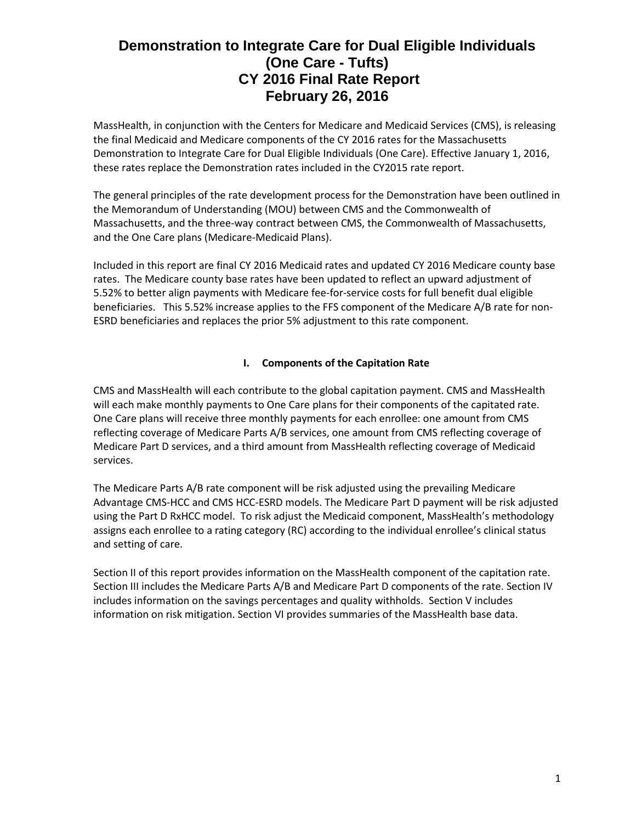MassHealth, in conjunction with the Centers for Medicare and Medicaid Services (CMS), is releasing the final Medicaid and Medicare components of the CY 2016 rates for the Massachusetts Demonstration to Integrate Care for Dual Eligible Individuals (One Care). Effective January 1, 2016, these rates replace the Demonstration rates included in the CY2015 rate report.

The general principles of the rate development process for the Demonstration have been outlined in the Memorandum of Understanding (MOU) between CMS and the Commonwealth of Massachusetts, and the three-way contract between CMS, the Commonwealth of Massachusetts, and the One Care plans (Medicare-Medicaid Plans).

Included in this report are final CY 2016 Medicaid rates and updated CY 2016 Medicare county base rates. The Medicare county base rates have been updated to reflect an upward adjustment of 5.52% to better align payments with Medicare fee-for-service costs for full benefit dual eligible beneficiaries. This 5.52% increase applies to the FFS component of the Medicare A/B rate for non-ESRD beneficiaries and replaces the prior 5% adjustment to this rate component.

## **I. Components of the Capitation Rate**

CMS and MassHealth will each contribute to the global capitation payment. CMS and MassHealth will each make monthly payments to One Care plans for their components of the capitated rate. One Care plans will receive three monthly payments for each enrollee: one amount from CMS reflecting coverage of Medicare Parts A/B services, one amount from CMS reflecting coverage of Medicare Part D services, and a third amount from MassHealth reflecting coverage of Medicaid services.

The Medicare Parts A/B rate component will be risk adjusted using the prevailing Medicare Advantage CMS-HCC and CMS HCC-ESRD models. The Medicare Part D payment will be risk adjusted using the Part D RxHCC model. To risk adjust the Medicaid component, MassHealth's methodology assigns each enrollee to a rating category (RC) according to the individual enrollee's clinical status and setting of care.

Section II of this report provides information on the MassHealth component of the capitation rate. Section III includes the Medicare Parts A/B and Medicare Part D components of the rate. Section IV includes information on the savings percentages and quality withholds. Section V includes information on risk mitigation. Section VI provides summaries of the MassHealth base data.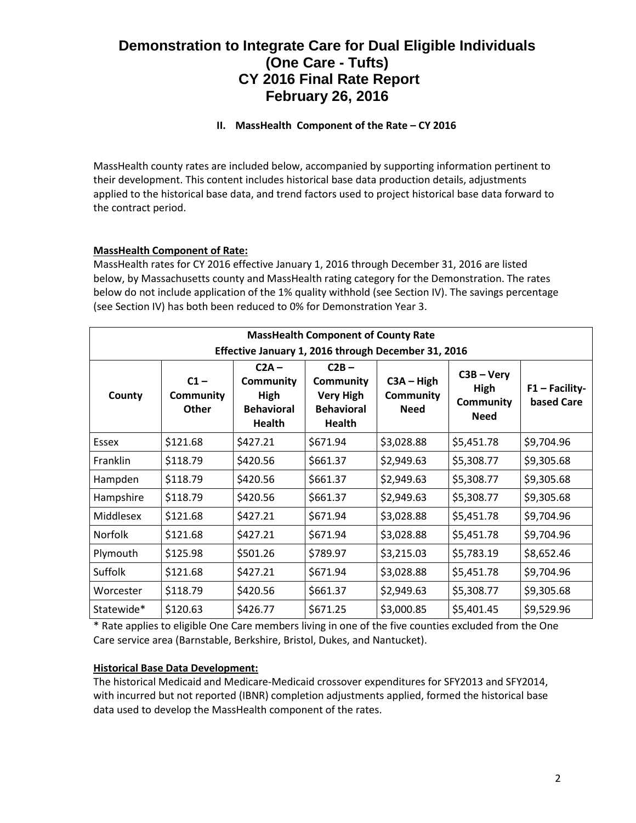## **II. MassHealth Component of the Rate – CY 2016**

MassHealth county rates are included below, accompanied by supporting information pertinent to their development. This content includes historical base data production details, adjustments applied to the historical base data, and trend factors used to project historical base data forward to the contract period.

## **MassHealth Component of Rate:**

MassHealth rates for CY 2016 effective January 1, 2016 through December 31, 2016 are listed below, by Massachusetts county and MassHealth rating category for the Demonstration. The rates below do not include application of the 1% quality withhold (see Section IV). The savings percentage (see Section IV) has both been reduced to 0% for Demonstration Year 3.

| <b>MassHealth Component of County Rate</b>          |                                            |                                                                                  |                                                                                |                                          |                                                         |                                |
|-----------------------------------------------------|--------------------------------------------|----------------------------------------------------------------------------------|--------------------------------------------------------------------------------|------------------------------------------|---------------------------------------------------------|--------------------------------|
| Effective January 1, 2016 through December 31, 2016 |                                            |                                                                                  |                                                                                |                                          |                                                         |                                |
| County                                              | $C1 -$<br><b>Community</b><br><b>Other</b> | $C2A -$<br><b>Community</b><br><b>High</b><br><b>Behavioral</b><br><b>Health</b> | $C2B -$<br><b>Community</b><br><b>Very High</b><br><b>Behavioral</b><br>Health | $C3A - High$<br>Community<br><b>Need</b> | $C3B - Very$<br>High<br><b>Community</b><br><b>Need</b> | $F1 - Facility-$<br>based Care |
| Essex                                               | \$121.68                                   | \$427.21                                                                         | \$671.94                                                                       | \$3,028.88                               | \$5,451.78                                              | \$9,704.96                     |
| Franklin                                            | \$118.79                                   | \$420.56                                                                         | \$661.37                                                                       | \$2,949.63                               | \$5,308.77                                              | \$9,305.68                     |
| Hampden                                             | \$118.79                                   | \$420.56                                                                         | \$661.37                                                                       | \$2,949.63                               | \$5,308.77                                              | \$9,305.68                     |
| Hampshire                                           | \$118.79                                   | \$420.56                                                                         | \$661.37                                                                       | \$2,949.63                               | \$5,308.77                                              | \$9,305.68                     |
| Middlesex                                           | \$121.68                                   | \$427.21                                                                         | \$671.94                                                                       | \$3,028.88                               | \$5,451.78                                              | \$9,704.96                     |
| Norfolk                                             | \$121.68                                   | \$427.21                                                                         | \$671.94                                                                       | \$3,028.88                               | \$5,451.78                                              | \$9,704.96                     |
| Plymouth                                            | \$125.98                                   | \$501.26                                                                         | \$789.97                                                                       | \$3,215.03                               | \$5,783.19                                              | \$8,652.46                     |
| Suffolk                                             | \$121.68                                   | \$427.21                                                                         | \$671.94                                                                       | \$3,028.88                               | \$5,451.78                                              | \$9,704.96                     |
| Worcester                                           | \$118.79                                   | \$420.56                                                                         | \$661.37                                                                       | \$2,949.63                               | \$5,308.77                                              | \$9,305.68                     |
| Statewide*                                          | \$120.63                                   | \$426.77                                                                         | \$671.25                                                                       | \$3,000.85                               | \$5,401.45                                              | \$9,529.96                     |

\* Rate applies to eligible One Care members living in one of the five counties excluded from the One Care service area (Barnstable, Berkshire, Bristol, Dukes, and Nantucket).

## **Historical Base Data Development:**

The historical Medicaid and Medicare-Medicaid crossover expenditures for SFY2013 and SFY2014, with incurred but not reported (IBNR) completion adjustments applied, formed the historical base data used to develop the MassHealth component of the rates.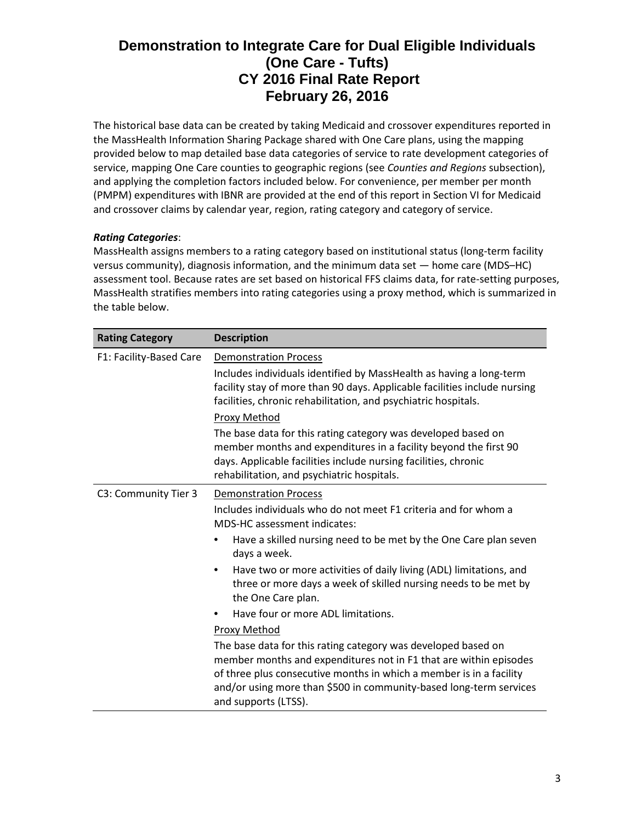The historical base data can be created by taking Medicaid and crossover expenditures reported in the MassHealth Information Sharing Package shared with One Care plans, using the mapping provided below to map detailed base data categories of service to rate development categories of service, mapping One Care counties to geographic regions (see *Counties and Regions* subsection), and applying the completion factors included below. For convenience, per member per month (PMPM) expenditures with IBNR are provided at the end of this report in Section VI for Medicaid and crossover claims by calendar year, region, rating category and category of service.

## *Rating Categories*:

MassHealth assigns members to a rating category based on institutional status (long-term facility versus community), diagnosis information, and the minimum data set — home care (MDS–HC) assessment tool. Because rates are set based on historical FFS claims data, for rate-setting purposes, MassHealth stratifies members into rating categories using a proxy method, which is summarized in the table below.

| <b>Rating Category</b>  | <b>Description</b>                                                                                                                                                                                                                                                                                      |  |  |
|-------------------------|---------------------------------------------------------------------------------------------------------------------------------------------------------------------------------------------------------------------------------------------------------------------------------------------------------|--|--|
| F1: Facility-Based Care | <b>Demonstration Process</b><br>Includes individuals identified by MassHealth as having a long-term<br>facility stay of more than 90 days. Applicable facilities include nursing<br>facilities, chronic rehabilitation, and psychiatric hospitals.                                                      |  |  |
|                         | Proxy Method<br>The base data for this rating category was developed based on<br>member months and expenditures in a facility beyond the first 90<br>days. Applicable facilities include nursing facilities, chronic<br>rehabilitation, and psychiatric hospitals.                                      |  |  |
| C3: Community Tier 3    | <b>Demonstration Process</b><br>Includes individuals who do not meet F1 criteria and for whom a<br><b>MDS-HC</b> assessment indicates:<br>Have a skilled nursing need to be met by the One Care plan seven<br>days a week.                                                                              |  |  |
|                         | Have two or more activities of daily living (ADL) limitations, and<br>٠<br>three or more days a week of skilled nursing needs to be met by<br>the One Care plan.                                                                                                                                        |  |  |
|                         | Have four or more ADL limitations.                                                                                                                                                                                                                                                                      |  |  |
|                         | Proxy Method                                                                                                                                                                                                                                                                                            |  |  |
|                         | The base data for this rating category was developed based on<br>member months and expenditures not in F1 that are within episodes<br>of three plus consecutive months in which a member is in a facility<br>and/or using more than \$500 in community-based long-term services<br>and supports (LTSS). |  |  |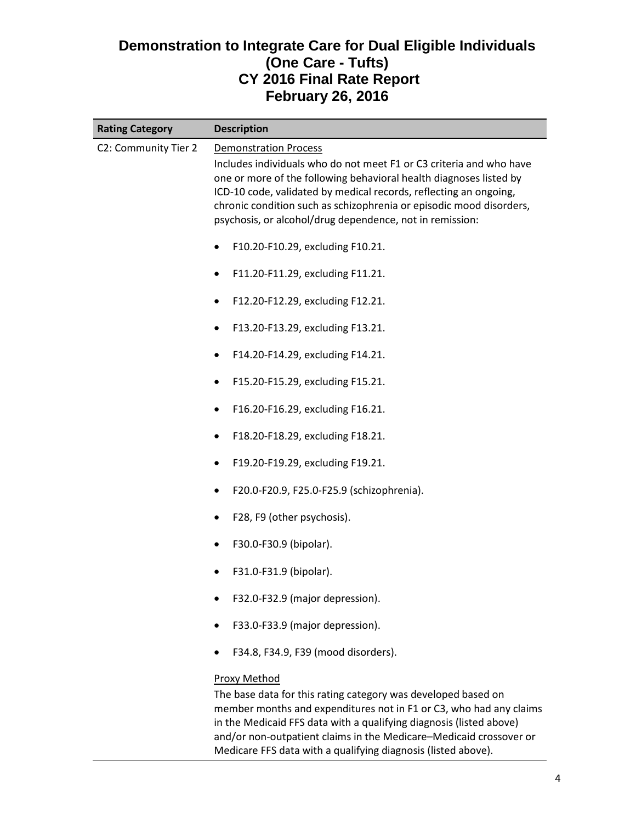| <b>Rating Category</b> | <b>Description</b>                                                                                                                                                                                                                                                                                                                                                                |
|------------------------|-----------------------------------------------------------------------------------------------------------------------------------------------------------------------------------------------------------------------------------------------------------------------------------------------------------------------------------------------------------------------------------|
| C2: Community Tier 2   | <b>Demonstration Process</b><br>Includes individuals who do not meet F1 or C3 criteria and who have<br>one or more of the following behavioral health diagnoses listed by<br>ICD-10 code, validated by medical records, reflecting an ongoing,<br>chronic condition such as schizophrenia or episodic mood disorders,<br>psychosis, or alcohol/drug dependence, not in remission: |
|                        | F10.20-F10.29, excluding F10.21.<br>$\bullet$                                                                                                                                                                                                                                                                                                                                     |
|                        | F11.20-F11.29, excluding F11.21.<br>٠                                                                                                                                                                                                                                                                                                                                             |
|                        | F12.20-F12.29, excluding F12.21.<br>٠                                                                                                                                                                                                                                                                                                                                             |
|                        | F13.20-F13.29, excluding F13.21.<br>$\bullet$                                                                                                                                                                                                                                                                                                                                     |
|                        | F14.20-F14.29, excluding F14.21.<br>٠                                                                                                                                                                                                                                                                                                                                             |
|                        | F15.20-F15.29, excluding F15.21.                                                                                                                                                                                                                                                                                                                                                  |
|                        | F16.20-F16.29, excluding F16.21.<br>$\bullet$                                                                                                                                                                                                                                                                                                                                     |
|                        | F18.20-F18.29, excluding F18.21.<br>٠                                                                                                                                                                                                                                                                                                                                             |
|                        | F19.20-F19.29, excluding F19.21.<br>٠                                                                                                                                                                                                                                                                                                                                             |
|                        | F20.0-F20.9, F25.0-F25.9 (schizophrenia).<br>$\bullet$                                                                                                                                                                                                                                                                                                                            |
|                        | F28, F9 (other psychosis).                                                                                                                                                                                                                                                                                                                                                        |
|                        | F30.0-F30.9 (bipolar).                                                                                                                                                                                                                                                                                                                                                            |
|                        | F31.0-F31.9 (bipolar).                                                                                                                                                                                                                                                                                                                                                            |
|                        | F32.0-F32.9 (major depression).                                                                                                                                                                                                                                                                                                                                                   |
|                        | F33.0-F33.9 (major depression).                                                                                                                                                                                                                                                                                                                                                   |
|                        | F34.8, F34.9, F39 (mood disorders).                                                                                                                                                                                                                                                                                                                                               |
|                        | <b>Proxy Method</b><br>The base data for this rating category was developed based on<br>member months and expenditures not in F1 or C3, who had any claims                                                                                                                                                                                                                        |

in the Medicaid FFS data with a qualifying diagnosis (listed above) and/or non-outpatient claims in the Medicare–Medicaid crossover or Medicare FFS data with a qualifying diagnosis (listed above).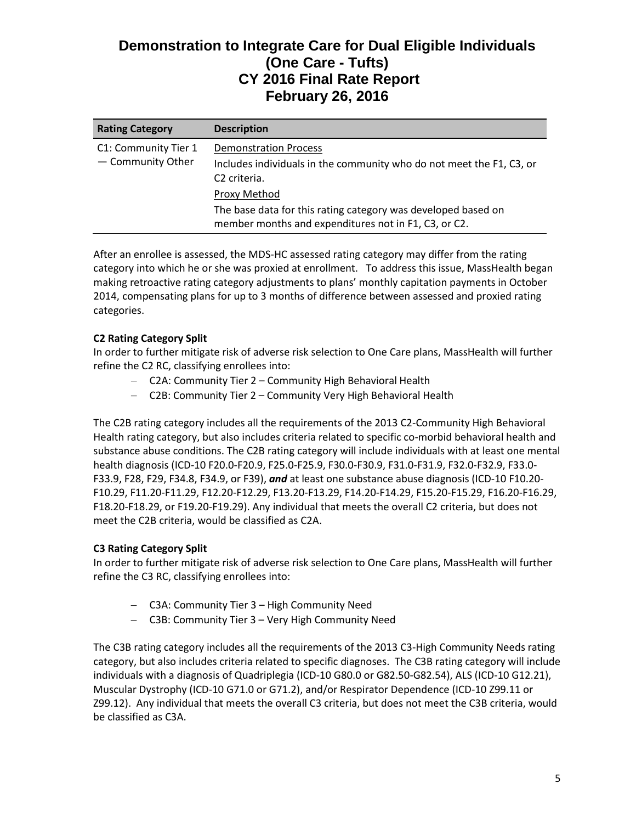| <b>Rating Category</b>                    | <b>Description</b>                                                                                                               |
|-------------------------------------------|----------------------------------------------------------------------------------------------------------------------------------|
| C1: Community Tier 1<br>- Community Other | <b>Demonstration Process</b><br>Includes individuals in the community who do not meet the F1, C3, or<br>C <sub>2</sub> criteria. |
|                                           | Proxy Method                                                                                                                     |
|                                           | The base data for this rating category was developed based on<br>member months and expenditures not in F1, C3, or C2.            |

After an enrollee is assessed, the MDS-HC assessed rating category may differ from the rating category into which he or she was proxied at enrollment. To address this issue, MassHealth began making retroactive rating category adjustments to plans' monthly capitation payments in October 2014, compensating plans for up to 3 months of difference between assessed and proxied rating categories.

### **C2 Rating Category Split**

In order to further mitigate risk of adverse risk selection to One Care plans, MassHealth will further refine the C2 RC, classifying enrollees into:

- − C2A: Community Tier 2 Community High Behavioral Health
- − C2B: Community Tier 2 Community Very High Behavioral Health

The C2B rating category includes all the requirements of the 2013 C2-Community High Behavioral Health rating category, but also includes criteria related to specific co-morbid behavioral health and substance abuse conditions. The C2B rating category will include individuals with at least one mental health diagnosis (ICD-10 F20.0-F20.9, F25.0-F25.9, F30.0-F30.9, F31.0-F31.9, F32.0-F32.9, F33.0- F33.9, F28, F29, F34.8, F34.9, or F39), *and* at least one substance abuse diagnosis (ICD-10 F10.20- F10.29, F11.20-F11.29, F12.20-F12.29, F13.20-F13.29, F14.20-F14.29, F15.20-F15.29, F16.20-F16.29, F18.20-F18.29, or F19.20-F19.29). Any individual that meets the overall C2 criteria, but does not meet the C2B criteria, would be classified as C2A.

## **C3 Rating Category Split**

In order to further mitigate risk of adverse risk selection to One Care plans, MassHealth will further refine the C3 RC, classifying enrollees into:

- − C3A: Community Tier 3 High Community Need
- − C3B: Community Tier 3 Very High Community Need

The C3B rating category includes all the requirements of the 2013 C3-High Community Needs rating category, but also includes criteria related to specific diagnoses. The C3B rating category will include individuals with a diagnosis of Quadriplegia (ICD-10 G80.0 or G82.50-G82.54), ALS (ICD-10 G12.21), Muscular Dystrophy (ICD-10 G71.0 or G71.2), and/or Respirator Dependence (ICD-10 Z99.11 or Z99.12). Any individual that meets the overall C3 criteria, but does not meet the C3B criteria, would be classified as C3A.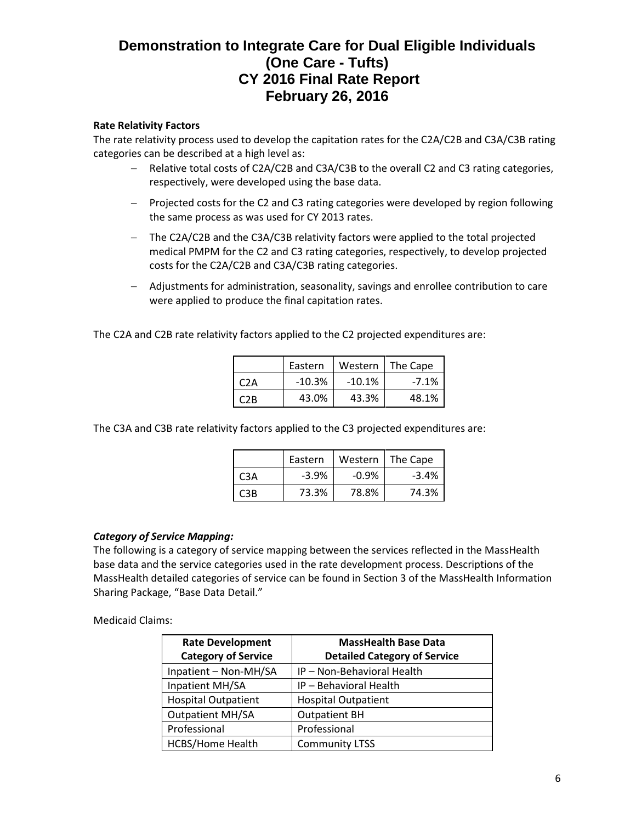#### **Rate Relativity Factors**

The rate relativity process used to develop the capitation rates for the C2A/C2B and C3A/C3B rating categories can be described at a high level as:

- − Relative total costs of C2A/C2B and C3A/C3B to the overall C2 and C3 rating categories, respectively, were developed using the base data.
- − Projected costs for the C2 and C3 rating categories were developed by region following the same process as was used for CY 2013 rates.
- − The C2A/C2B and the C3A/C3B relativity factors were applied to the total projected medical PMPM for the C2 and C3 rating categories, respectively, to develop projected costs for the C2A/C2B and C3A/C3B rating categories.
- − Adjustments for administration, seasonality, savings and enrollee contribution to care were applied to produce the final capitation rates.

The C2A and C2B rate relativity factors applied to the C2 projected expenditures are:

|     | Eastern  | Western   | The Cape |
|-----|----------|-----------|----------|
| C2A | $-10.3%$ | $-10.1\%$ | $-7.1\%$ |
| C2R | 43.0%    | 43.3%     | 48.1%    |

The C3A and C3B rate relativity factors applied to the C3 projected expenditures are:

|      | Eastern | Western | The Cape |
|------|---------|---------|----------|
| C3A  | $-3.9%$ | $-0.9%$ | $-3.4%$  |
| C3B. | 73.3%   | 78.8%   | 74.3%    |

#### *Category of Service Mapping:*

The following is a category of service mapping between the services reflected in the MassHealth base data and the service categories used in the rate development process. Descriptions of the MassHealth detailed categories of service can be found in Section 3 of the MassHealth Information Sharing Package, "Base Data Detail."

#### Medicaid Claims:

| <b>Rate Development</b><br><b>Category of Service</b> | <b>MassHealth Base Data</b><br><b>Detailed Category of Service</b> |
|-------------------------------------------------------|--------------------------------------------------------------------|
| Inpatient - Non-MH/SA                                 | IP - Non-Behavioral Health                                         |
| Inpatient MH/SA                                       | IP - Behavioral Health                                             |
| <b>Hospital Outpatient</b>                            | <b>Hospital Outpatient</b>                                         |
| <b>Outpatient MH/SA</b>                               | <b>Outpatient BH</b>                                               |
| Professional                                          | Professional                                                       |
| HCBS/Home Health                                      | <b>Community LTSS</b>                                              |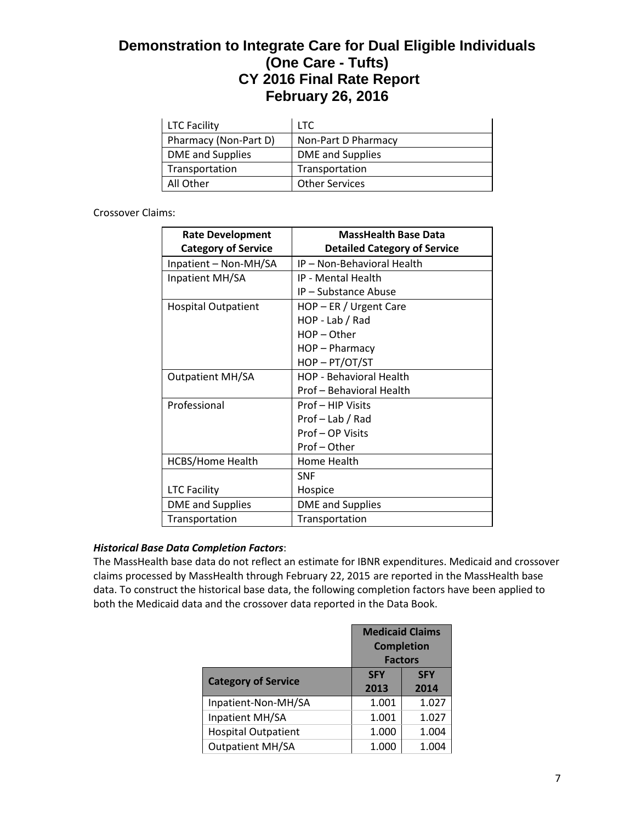| <b>LTC Facility</b>   | LTC.                  |
|-----------------------|-----------------------|
| Pharmacy (Non-Part D) | Non-Part D Pharmacy   |
| DME and Supplies      | DME and Supplies      |
| Transportation        | Transportation        |
| All Other             | <b>Other Services</b> |

### Crossover Claims:

| <b>Rate Development</b><br><b>Category of Service</b> | <b>MassHealth Base Data</b><br><b>Detailed Category of Service</b> |
|-------------------------------------------------------|--------------------------------------------------------------------|
| Inpatient - Non-MH/SA                                 | IP - Non-Behavioral Health                                         |
| Inpatient MH/SA                                       | IP - Mental Health                                                 |
|                                                       | IP - Substance Abuse                                               |
| <b>Hospital Outpatient</b>                            | $HOP - ER / Urgent Care$                                           |
|                                                       | HOP - Lab / Rad                                                    |
|                                                       | $HOP - Other$                                                      |
|                                                       | HOP - Pharmacy                                                     |
|                                                       | HOP-PT/OT/ST                                                       |
| <b>Outpatient MH/SA</b>                               | <b>HOP - Behavioral Health</b>                                     |
|                                                       | Prof - Behavioral Health                                           |
| Professional                                          | Prof - HIP Visits                                                  |
|                                                       | Prof-Lab / Rad                                                     |
|                                                       | Prof-OP Visits                                                     |
|                                                       | Prof-Other                                                         |
| <b>HCBS/Home Health</b>                               | Home Health                                                        |
|                                                       | <b>SNF</b>                                                         |
| <b>LTC Facility</b>                                   | Hospice                                                            |
| <b>DME</b> and Supplies                               | <b>DME</b> and Supplies                                            |
| Transportation                                        | Transportation                                                     |

## *Historical Base Data Completion Factors*:

The MassHealth base data do not reflect an estimate for IBNR expenditures. Medicaid and crossover claims processed by MassHealth through February 22, 2015 are reported in the MassHealth base data. To construct the historical base data, the following completion factors have been applied to both the Medicaid data and the crossover data reported in the Data Book.

|                            | <b>Medicaid Claims</b><br><b>Completion</b><br><b>Factors</b> |                    |
|----------------------------|---------------------------------------------------------------|--------------------|
| <b>Category of Service</b> | <b>SFY</b><br>2013                                            | <b>SFY</b><br>2014 |
| Inpatient-Non-MH/SA        | 1.001                                                         | 1.027              |
| Inpatient MH/SA            | 1.001                                                         | 1.027              |
| <b>Hospital Outpatient</b> | 1.000                                                         | 1.004              |
| <b>Outpatient MH/SA</b>    | 1.000                                                         | 1.004              |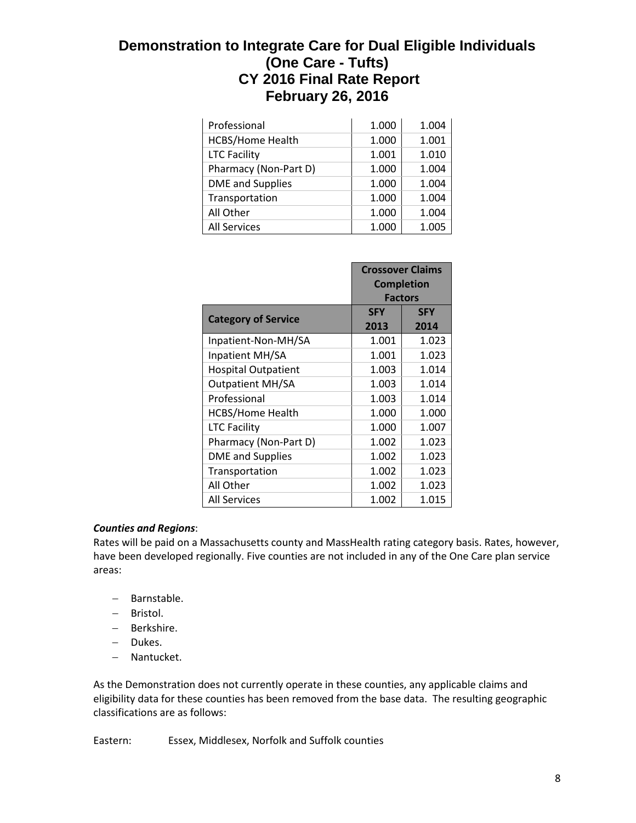| Professional            | 1.000 | 1.004 |
|-------------------------|-------|-------|
| <b>HCBS/Home Health</b> | 1.000 | 1.001 |
| <b>LTC Facility</b>     | 1.001 | 1.010 |
| Pharmacy (Non-Part D)   | 1.000 | 1.004 |
| <b>DME</b> and Supplies | 1.000 | 1.004 |
| Transportation          | 1.000 | 1.004 |
| All Other               | 1.000 | 1.004 |
| <b>All Services</b>     | 1.000 | 1.005 |

|                            | <b>Crossover Claims</b><br><b>Completion</b><br><b>Factors</b> |                    |
|----------------------------|----------------------------------------------------------------|--------------------|
| <b>Category of Service</b> | <b>SFY</b><br>2013                                             | <b>SFY</b><br>2014 |
| Inpatient-Non-MH/SA        | 1.001                                                          | 1.023              |
| Inpatient MH/SA            | 1.001                                                          | 1.023              |
| <b>Hospital Outpatient</b> | 1.003                                                          | 1.014              |
| <b>Outpatient MH/SA</b>    | 1.003                                                          | 1.014              |
| Professional               | 1.003                                                          | 1.014              |
| <b>HCBS/Home Health</b>    | 1.000                                                          | 1.000              |
| <b>LTC Facility</b>        | 1.000                                                          | 1.007              |
| Pharmacy (Non-Part D)      | 1.002                                                          | 1.023              |
| <b>DME</b> and Supplies    | 1.002                                                          | 1.023              |
| Transportation             | 1.002                                                          | 1.023              |
| All Other                  | 1.002                                                          | 1.023              |
| <b>All Services</b>        | 1.002                                                          | 1.015              |

## *Counties and Regions*:

Rates will be paid on a Massachusetts county and MassHealth rating category basis. Rates, however, have been developed regionally. Five counties are not included in any of the One Care plan service areas:

- − Barnstable.
- − Bristol.
- − Berkshire.
- − Dukes.
- − Nantucket.

As the Demonstration does not currently operate in these counties, any applicable claims and eligibility data for these counties has been removed from the base data. The resulting geographic classifications are as follows:

Eastern: Essex, Middlesex, Norfolk and Suffolk counties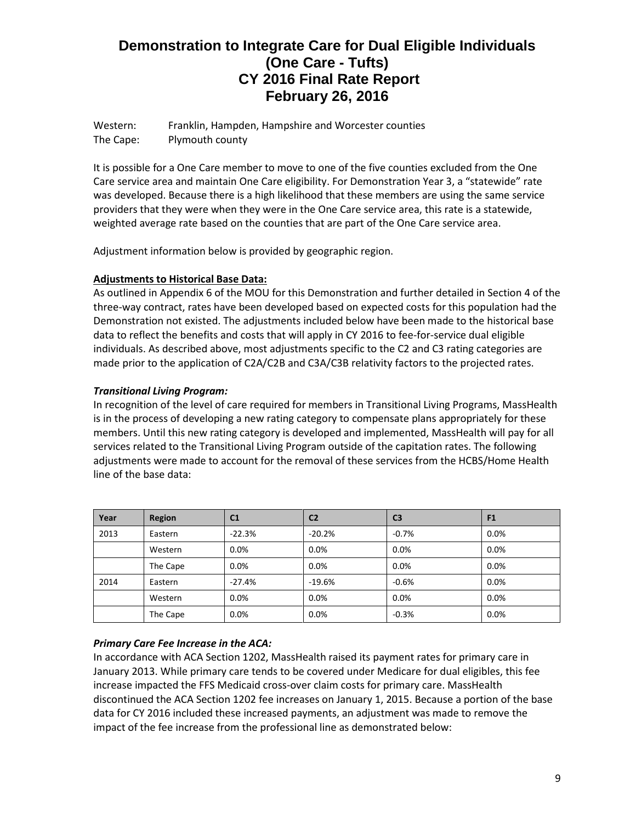Western: Franklin, Hampden, Hampshire and Worcester counties The Cape: Plymouth county

It is possible for a One Care member to move to one of the five counties excluded from the One Care service area and maintain One Care eligibility. For Demonstration Year 3, a "statewide" rate was developed. Because there is a high likelihood that these members are using the same service providers that they were when they were in the One Care service area, this rate is a statewide, weighted average rate based on the counties that are part of the One Care service area.

Adjustment information below is provided by geographic region.

### **Adjustments to Historical Base Data:**

As outlined in Appendix 6 of the MOU for this Demonstration and further detailed in Section 4 of the three-way contract, rates have been developed based on expected costs for this population had the Demonstration not existed. The adjustments included below have been made to the historical base data to reflect the benefits and costs that will apply in CY 2016 to fee-for-service dual eligible individuals. As described above, most adjustments specific to the C2 and C3 rating categories are made prior to the application of C2A/C2B and C3A/C3B relativity factors to the projected rates.

## *Transitional Living Program:*

In recognition of the level of care required for members in Transitional Living Programs, MassHealth is in the process of developing a new rating category to compensate plans appropriately for these members. Until this new rating category is developed and implemented, MassHealth will pay for all services related to the Transitional Living Program outside of the capitation rates. The following adjustments were made to account for the removal of these services from the HCBS/Home Health line of the base data:

| Year | Region   | C <sub>1</sub> | C <sub>2</sub> | C <sub>3</sub> | F <sub>1</sub> |
|------|----------|----------------|----------------|----------------|----------------|
| 2013 | Eastern  | $-22.3%$       | $-20.2%$       | $-0.7\%$       | 0.0%           |
|      | Western  | 0.0%           | 0.0%           | $0.0\%$        | 0.0%           |
|      | The Cape | 0.0%           | 0.0%           | $0.0\%$        | 0.0%           |
| 2014 | Eastern  | $-27.4%$       | $-19.6%$       | $-0.6%$        | 0.0%           |
|      | Western  | 0.0%           | 0.0%           | $0.0\%$        | 0.0%           |
|      | The Cape | 0.0%           | 0.0%           | $-0.3%$        | 0.0%           |

## *Primary Care Fee Increase in the ACA:*

In accordance with ACA Section 1202, MassHealth raised its payment rates for primary care in January 2013. While primary care tends to be covered under Medicare for dual eligibles, this fee increase impacted the FFS Medicaid cross-over claim costs for primary care. MassHealth discontinued the ACA Section 1202 fee increases on January 1, 2015. Because a portion of the base data for CY 2016 included these increased payments, an adjustment was made to remove the impact of the fee increase from the professional line as demonstrated below: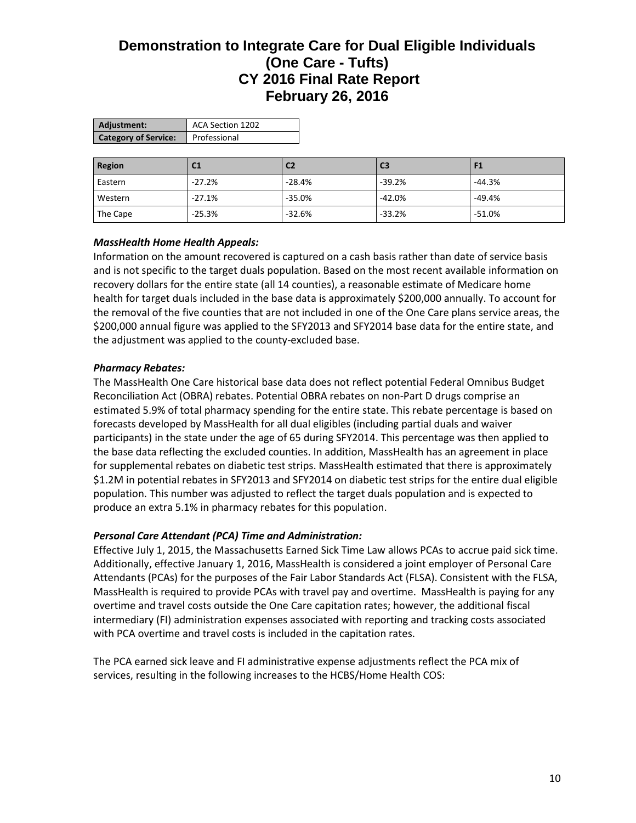| Adjustment:                 | ACA Section 1202 |
|-----------------------------|------------------|
| <b>Category of Service:</b> | Professional     |

| Region   | C <sub>1</sub> | C <sub>2</sub> | C <sub>3</sub> |          |
|----------|----------------|----------------|----------------|----------|
| Eastern  | $-27.2%$       | $-28.4%$       | $-39.2%$       | $-44.3%$ |
| Western  | $-27.1%$       | $-35.0%$       | $-42.0%$       | $-49.4%$ |
| The Cape | $-25.3%$       | $-32.6%$       | $-33.2%$       | $-51.0%$ |

### *MassHealth Home Health Appeals:*

Information on the amount recovered is captured on a cash basis rather than date of service basis and is not specific to the target duals population. Based on the most recent available information on recovery dollars for the entire state (all 14 counties), a reasonable estimate of Medicare home health for target duals included in the base data is approximately \$200,000 annually. To account for the removal of the five counties that are not included in one of the One Care plans service areas, the \$200,000 annual figure was applied to the SFY2013 and SFY2014 base data for the entire state, and the adjustment was applied to the county-excluded base.

### *Pharmacy Rebates:*

The MassHealth One Care historical base data does not reflect potential Federal Omnibus Budget Reconciliation Act (OBRA) rebates. Potential OBRA rebates on non-Part D drugs comprise an estimated 5.9% of total pharmacy spending for the entire state. This rebate percentage is based on forecasts developed by MassHealth for all dual eligibles (including partial duals and waiver participants) in the state under the age of 65 during SFY2014. This percentage was then applied to the base data reflecting the excluded counties. In addition, MassHealth has an agreement in place for supplemental rebates on diabetic test strips. MassHealth estimated that there is approximately \$1.2M in potential rebates in SFY2013 and SFY2014 on diabetic test strips for the entire dual eligible population. This number was adjusted to reflect the target duals population and is expected to produce an extra 5.1% in pharmacy rebates for this population.

#### *Personal Care Attendant (PCA) Time and Administration:*

Effective July 1, 2015, the Massachusetts Earned Sick Time Law allows PCAs to accrue paid sick time. Additionally, effective January 1, 2016, MassHealth is considered a joint employer of Personal Care Attendants (PCAs) for the purposes of the Fair Labor Standards Act (FLSA). Consistent with the FLSA, MassHealth is required to provide PCAs with travel pay and overtime. MassHealth is paying for any overtime and travel costs outside the One Care capitation rates; however, the additional fiscal intermediary (FI) administration expenses associated with reporting and tracking costs associated with PCA overtime and travel costs is included in the capitation rates.

The PCA earned sick leave and FI administrative expense adjustments reflect the PCA mix of services, resulting in the following increases to the HCBS/Home Health COS: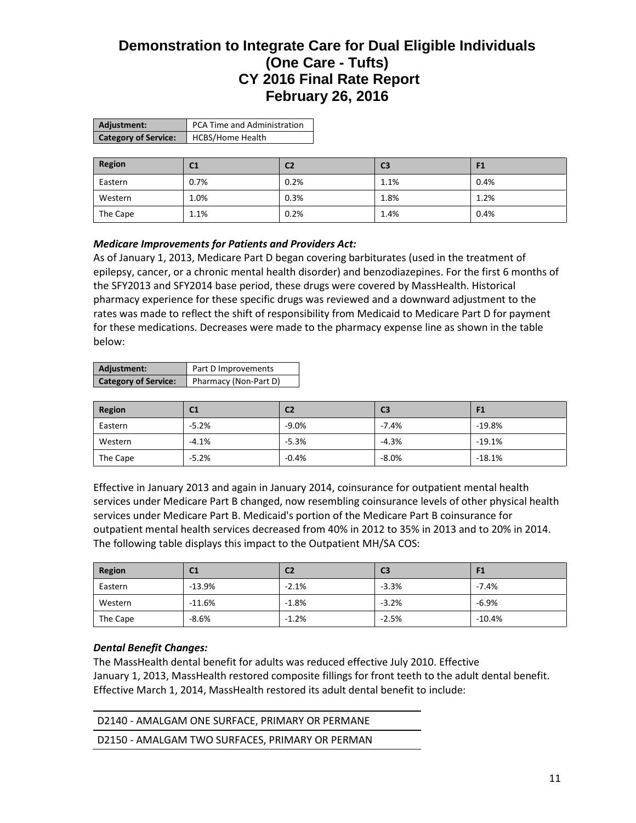| Adjustment:                 | PCA Time and Administration |  |
|-----------------------------|-----------------------------|--|
| <b>Category of Service:</b> | <b>HCBS/Home Health</b>     |  |

| Region   | C <sub>1</sub> | C <sub>2</sub> | C <sub>3</sub> | F <sub>1</sub> |
|----------|----------------|----------------|----------------|----------------|
| Eastern  | $0.7\%$        | 0.2%           | 1.1%           | 0.4%           |
| Western  | 1.0%           | 0.3%           | 1.8%           | 1.2%           |
| The Cape | 1.1%           | 0.2%           | 1.4%           | 0.4%           |

### *Medicare Improvements for Patients and Providers Act:*

As of January 1, 2013, Medicare Part D began covering barbiturates (used in the treatment of epilepsy, cancer, or a chronic mental health disorder) and benzodiazepines. For the first 6 months of the SFY2013 and SFY2014 base period, these drugs were covered by MassHealth. Historical pharmacy experience for these specific drugs was reviewed and a downward adjustment to the rates was made to reflect the shift of responsibility from Medicaid to Medicare Part D for payment for these medications. Decreases were made to the pharmacy expense line as shown in the table below:

| Adjustment:                 | Part D Improvements   |
|-----------------------------|-----------------------|
| <b>Category of Service:</b> | Pharmacy (Non-Part D) |

| Region   | C <sub>1</sub> | C <sub>2</sub> | C <sub>3</sub> | 91       |
|----------|----------------|----------------|----------------|----------|
| Eastern  | $-5.2%$        | $-9.0%$        | $-7.4%$        | $-19.8%$ |
| Western  | $-4.1%$        | $-5.3%$        | $-4.3%$        | $-19.1%$ |
| The Cape | $-5.2%$        | $-0.4%$        | $-8.0%$        | $-18.1%$ |

Effective in January 2013 and again in January 2014, coinsurance for outpatient mental health services under Medicare Part B changed, now resembling coinsurance levels of other physical health services under Medicare Part B. Medicaid's portion of the Medicare Part B coinsurance for outpatient mental health services decreased from 40% in 2012 to 35% in 2013 and to 20% in 2014. The following table displays this impact to the Outpatient MH/SA COS:

| Region   | C1       | C2      | C <sub>3</sub> | F1       |
|----------|----------|---------|----------------|----------|
| Eastern  | $-13.9%$ | $-2.1%$ | $-3.3%$        | $-7.4%$  |
| Western  | $-11.6%$ | $-1.8%$ | $-3.2%$        | $-6.9%$  |
| The Cape | $-8.6%$  | $-1.2%$ | $-2.5%$        | $-10.4%$ |

#### *Dental Benefit Changes:*

The MassHealth dental benefit for adults was reduced effective July 2010. Effective January 1, 2013, MassHealth restored composite fillings for front teeth to the adult dental benefit. Effective March 1, 2014, MassHealth restored its adult dental benefit to include:

| D2140 - AMALGAM ONE SURFACE, PRIMARY OR PERMANE |  |
|-------------------------------------------------|--|
| D2150 - AMALGAM TWO SURFACES, PRIMARY OR PERMAN |  |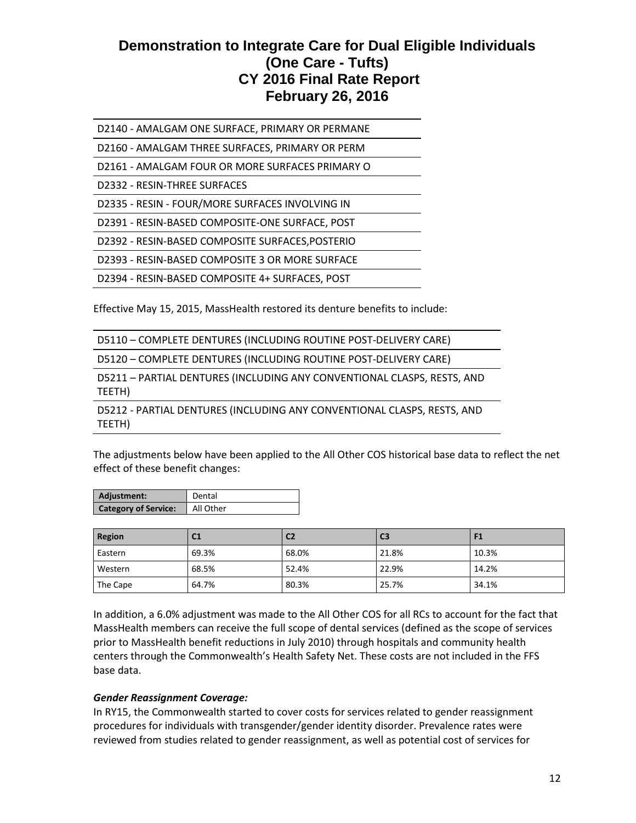D2140 - AMALGAM ONE SURFACE, PRIMARY OR PERMANE

D2160 - AMALGAM THREE SURFACES, PRIMARY OR PERM

D2161 - AMALGAM FOUR OR MORE SURFACES PRIMARY O

D2332 - RESIN-THREE SURFACES

D2335 - RESIN - FOUR/MORE SURFACES INVOLVING IN

D2391 - RESIN-BASED COMPOSITE-ONE SURFACE, POST

D2392 - RESIN-BASED COMPOSITE SURFACES,POSTERIO

D2393 - RESIN-BASED COMPOSITE 3 OR MORE SURFACE

D2394 - RESIN-BASED COMPOSITE 4+ SURFACES, POST

Effective May 15, 2015, MassHealth restored its denture benefits to include:

|  | D5110 - COMPLETE DENTURES (INCLUDING ROUTINE POST-DELIVERY CARE) |  |
|--|------------------------------------------------------------------|--|
|--|------------------------------------------------------------------|--|

D5120 – COMPLETE DENTURES (INCLUDING ROUTINE POST-DELIVERY CARE)

D5211 – PARTIAL DENTURES (INCLUDING ANY CONVENTIONAL CLASPS, RESTS, AND TEETH)

D5212 - PARTIAL DENTURES (INCLUDING ANY CONVENTIONAL CLASPS, RESTS, AND TEETH)

The adjustments below have been applied to the All Other COS historical base data to reflect the net effect of these benefit changes:

| Adjustment:                 | Dental    |
|-----------------------------|-----------|
| <b>Category of Service:</b> | All Other |

| Region   | C <sub>1</sub> | C <sub>2</sub> | C <sub>3</sub> |       |
|----------|----------------|----------------|----------------|-------|
| Eastern  | 69.3%          | 68.0%          | 21.8%          | 10.3% |
| Western  | 68.5%          | 52.4%          | 22.9%          | 14.2% |
| The Cape | 64.7%          | 80.3%          | 25.7%          | 34.1% |

In addition, a 6.0% adjustment was made to the All Other COS for all RCs to account for the fact that MassHealth members can receive the full scope of dental services (defined as the scope of services prior to MassHealth benefit reductions in July 2010) through hospitals and community health centers through the Commonwealth's Health Safety Net. These costs are not included in the FFS base data.

#### *Gender Reassignment Coverage:*

In RY15, the Commonwealth started to cover costs for services related to gender reassignment procedures for individuals with transgender/gender identity disorder. Prevalence rates were reviewed from studies related to gender reassignment, as well as potential cost of services for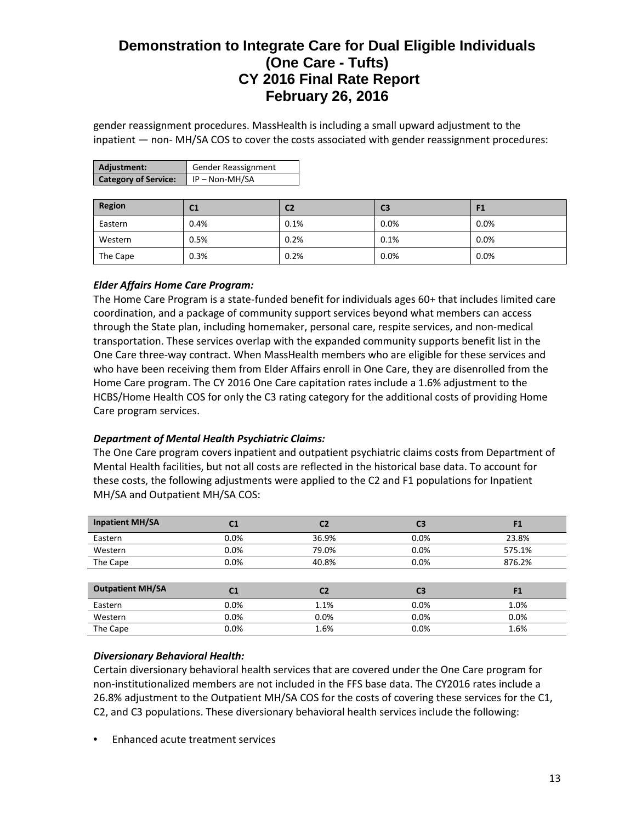gender reassignment procedures. MassHealth is including a small upward adjustment to the inpatient — non- MH/SA COS to cover the costs associated with gender reassignment procedures:

| Adjustment:                 | <b>Gender Reassignment</b> |
|-----------------------------|----------------------------|
| <b>Category of Service:</b> | $\vert$ IP – Non-MH/SA     |

| Region   | C1   | C2   | C <sub>3</sub> | F1      |
|----------|------|------|----------------|---------|
| Eastern  | 0.4% | 0.1% | 0.0%           | 0.0%    |
| Western  | 0.5% | 0.2% | 0.1%           | 0.0%    |
| The Cape | 0.3% | 0.2% | 0.0%           | $0.0\%$ |

## *Elder Affairs Home Care Program:*

The Home Care Program is a state-funded benefit for individuals ages 60+ that includes limited care coordination, and a package of community support services beyond what members can access through the State plan, including homemaker, personal care, respite services, and non-medical transportation. These services overlap with the expanded community supports benefit list in the One Care three-way contract. When MassHealth members who are eligible for these services and who have been receiving them from Elder Affairs enroll in One Care, they are disenrolled from the Home Care program. The CY 2016 One Care capitation rates include a 1.6% adjustment to the HCBS/Home Health COS for only the C3 rating category for the additional costs of providing Home Care program services.

#### *Department of Mental Health Psychiatric Claims:*

The One Care program covers inpatient and outpatient psychiatric claims costs from Department of Mental Health facilities, but not all costs are reflected in the historical base data. To account for these costs, the following adjustments were applied to the C2 and F1 populations for Inpatient MH/SA and Outpatient MH/SA COS:

| <b>Inpatient MH/SA</b>  | C <sub>1</sub> | C <sub>2</sub> | C <sub>3</sub> | F <sub>1</sub> |
|-------------------------|----------------|----------------|----------------|----------------|
| Eastern                 | 0.0%           | 36.9%          | 0.0%           | 23.8%          |
| Western                 | 0.0%           | 79.0%          | 0.0%           | 575.1%         |
| The Cape                | 0.0%           | 40.8%          | 0.0%           | 876.2%         |
|                         |                |                |                |                |
| <b>Outpatient MH/SA</b> | C <sub>1</sub> | C <sub>2</sub> | C3             | F <sub>1</sub> |
| Eastern                 | 0.0%           | 1.1%           | 0.0%           | 1.0%           |
| Western                 | 0.0%           | 0.0%           | 0.0%           | 0.0%           |
| The Cape                | 0.0%           | 1.6%           | 0.0%           | 1.6%           |

## *Diversionary Behavioral Health:*

Certain diversionary behavioral health services that are covered under the One Care program for non-institutionalized members are not included in the FFS base data. The CY2016 rates include a 26.8% adjustment to the Outpatient MH/SA COS for the costs of covering these services for the C1, C2, and C3 populations. These diversionary behavioral health services include the following:

• Enhanced acute treatment services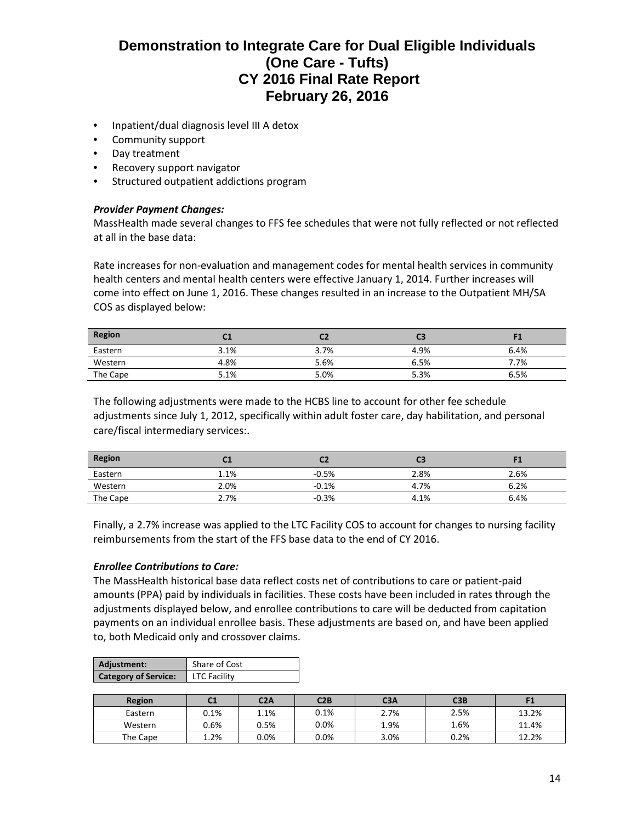- Inpatient/dual diagnosis level III A detox
- Community support
- Day treatment
- Recovery support navigator
- Structured outpatient addictions program

#### *Provider Payment Changes:*

MassHealth made several changes to FFS fee schedules that were not fully reflected or not reflected at all in the base data:

Rate increases for non-evaluation and management codes for mental health services in community health centers and mental health centers were effective January 1, 2014. Further increases will come into effect on June 1, 2016. These changes resulted in an increase to the Outpatient MH/SA COS as displayed below:

| <b>Region</b> |      |      | C3   |      |
|---------------|------|------|------|------|
| Eastern       | 3.1% | 3.7% | 4.9% | 6.4% |
| Western       | 4.8% | 5.6% | 6.5% | 7.7% |
| The Cape      | 5.1% | 5.0% | 5.3% | 6.5% |

The following adjustments were made to the HCBS line to account for other fee schedule adjustments since July 1, 2012, specifically within adult foster care, day habilitation, and personal care/fiscal intermediary services:.

| <b>Region</b><br>the control of the control of the control | u.l  |         | C3   |      |
|------------------------------------------------------------|------|---------|------|------|
| Eastern                                                    | 1.1% | $-0.5%$ | 2.8% | 2.6% |
| Western                                                    | 2.0% | $-0.1%$ | 4.7% | 6.2% |
| The Cape                                                   | 2.7% | $-0.3%$ | 4.1% | 6.4% |

Finally, a 2.7% increase was applied to the LTC Facility COS to account for changes to nursing facility reimbursements from the start of the FFS base data to the end of CY 2016.

#### *Enrollee Contributions to Care:*

The MassHealth historical base data reflect costs net of contributions to care or patient-paid amounts (PPA) paid by individuals in facilities. These costs have been included in rates through the adjustments displayed below, and enrollee contributions to care will be deducted from capitation payments on an individual enrollee basis. These adjustments are based on, and have been applied to, both Medicaid only and crossover claims.

| Adjustment:                 | Share of Cost       |
|-----------------------------|---------------------|
| <b>Category of Service:</b> | <b>LTC Facility</b> |

| <b>Region</b> | $\mathcal{L}$<br>u | C2A     | C2B     | C <sub>3A</sub> | C3B  |       |
|---------------|--------------------|---------|---------|-----------------|------|-------|
| Eastern       | 0.1%               | $1.1\%$ | 0.1%    | 2.7%            | 2.5% | 13.2% |
| Western       | 0.6%               | 0.5%    | 0.0%    | 1.9%            | 1.6% | 11.4% |
| The Cape      | 2%                 | $0.0\%$ | $0.0\%$ | 3.0%            | 0.2% | 12.2% |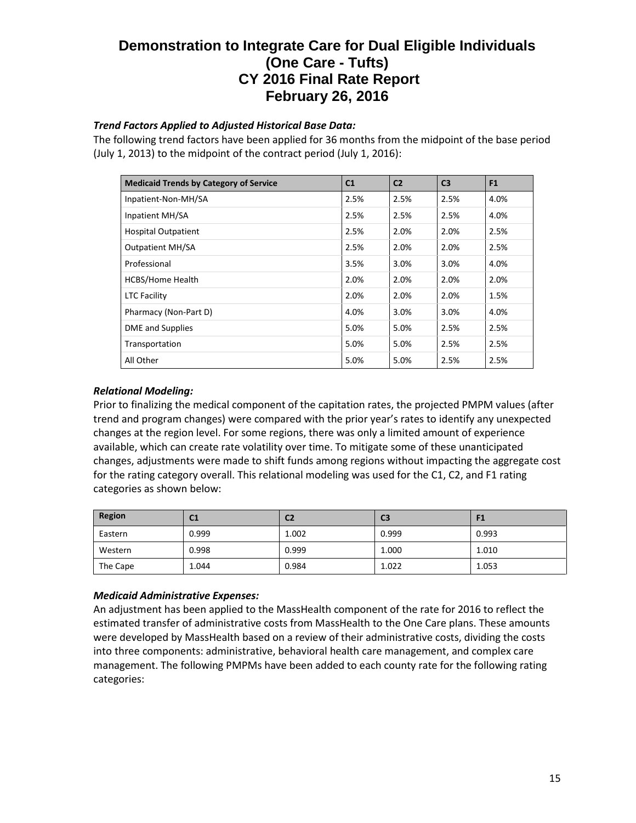## *Trend Factors Applied to Adjusted Historical Base Data:*

The following trend factors have been applied for 36 months from the midpoint of the base period (July 1, 2013) to the midpoint of the contract period (July 1, 2016):

| <b>Medicaid Trends by Category of Service</b> | C <sub>1</sub> | C <sub>2</sub> | C <sub>3</sub> | F <sub>1</sub> |
|-----------------------------------------------|----------------|----------------|----------------|----------------|
| Inpatient-Non-MH/SA                           | 2.5%           | 2.5%           | 2.5%           | 4.0%           |
| Inpatient MH/SA                               | 2.5%           | 2.5%           | 2.5%           | 4.0%           |
| <b>Hospital Outpatient</b>                    | 2.5%           | 2.0%           | 2.0%           | 2.5%           |
| <b>Outpatient MH/SA</b>                       | 2.5%           | 2.0%           | 2.0%           | 2.5%           |
| Professional                                  | 3.5%           | 3.0%           | 3.0%           | 4.0%           |
| <b>HCBS/Home Health</b>                       | 2.0%           | 2.0%           | 2.0%           | 2.0%           |
| <b>LTC Facility</b>                           | 2.0%           | 2.0%           | 2.0%           | 1.5%           |
| Pharmacy (Non-Part D)                         | 4.0%           | 3.0%           | 3.0%           | 4.0%           |
| <b>DME</b> and Supplies                       | 5.0%           | 5.0%           | 2.5%           | 2.5%           |
| Transportation                                | 5.0%           | 5.0%           | 2.5%           | 2.5%           |
| All Other                                     | 5.0%           | 5.0%           | 2.5%           | 2.5%           |

### *Relational Modeling:*

Prior to finalizing the medical component of the capitation rates, the projected PMPM values (after trend and program changes) were compared with the prior year's rates to identify any unexpected changes at the region level. For some regions, there was only a limited amount of experience available, which can create rate volatility over time. To mitigate some of these unanticipated changes, adjustments were made to shift funds among regions without impacting the aggregate cost for the rating category overall. This relational modeling was used for the C1, C2, and F1 rating categories as shown below:

| Region   | C <sub>1</sub> | C <sub>2</sub> | C <sub>3</sub> | F1    |
|----------|----------------|----------------|----------------|-------|
| Eastern  | 0.999          | 1.002          | 0.999          | 0.993 |
| Western  | 0.998          | 0.999          | 1.000          | 1.010 |
| The Cape | 1.044          | 0.984          | 1.022          | 1.053 |

#### *Medicaid Administrative Expenses:*

An adjustment has been applied to the MassHealth component of the rate for 2016 to reflect the estimated transfer of administrative costs from MassHealth to the One Care plans. These amounts were developed by MassHealth based on a review of their administrative costs, dividing the costs into three components: administrative, behavioral health care management, and complex care management. The following PMPMs have been added to each county rate for the following rating categories: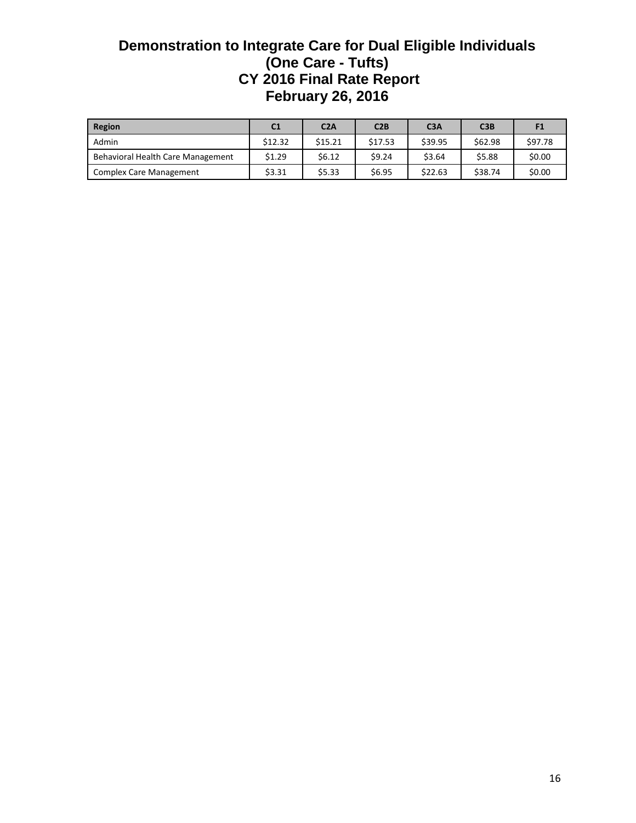| Region                            | C <sub>1</sub> | C2A     | C2B     | C <sub>3A</sub> | C3B     | F1      |
|-----------------------------------|----------------|---------|---------|-----------------|---------|---------|
| Admin                             | \$12.32        | \$15.21 | \$17.53 | \$39.95         | \$62.98 | \$97.78 |
| Behavioral Health Care Management | \$1.29         | \$6.12  | \$9.24  | \$3.64          | \$5.88  | \$0.00  |
| <b>Complex Care Management</b>    | \$3.31         | \$5.33  | \$6.95  | \$22.63         | \$38.74 | \$0.00  |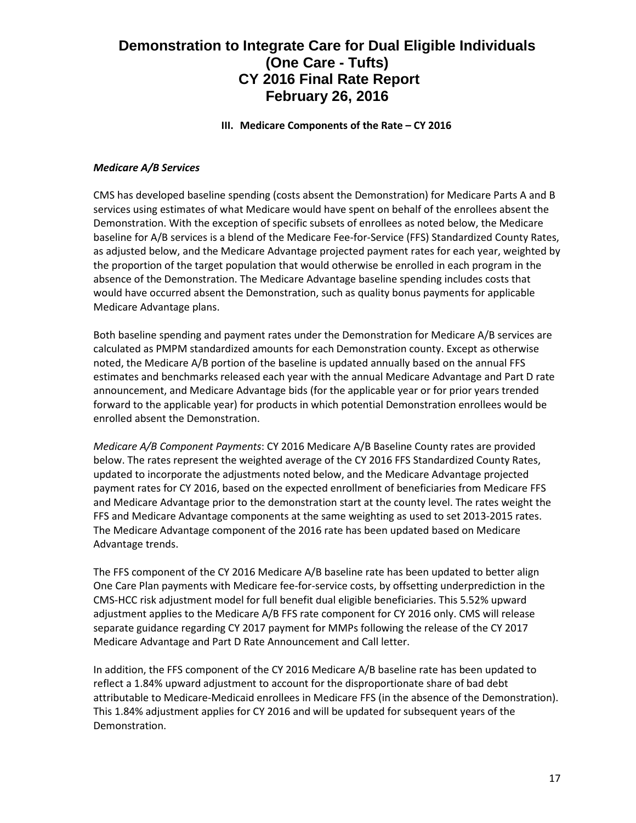**III. Medicare Components of the Rate – CY 2016**

### *Medicare A/B Services*

CMS has developed baseline spending (costs absent the Demonstration) for Medicare Parts A and B services using estimates of what Medicare would have spent on behalf of the enrollees absent the Demonstration. With the exception of specific subsets of enrollees as noted below, the Medicare baseline for A/B services is a blend of the Medicare Fee-for-Service (FFS) Standardized County Rates, as adjusted below, and the Medicare Advantage projected payment rates for each year, weighted by the proportion of the target population that would otherwise be enrolled in each program in the absence of the Demonstration. The Medicare Advantage baseline spending includes costs that would have occurred absent the Demonstration, such as quality bonus payments for applicable Medicare Advantage plans.

Both baseline spending and payment rates under the Demonstration for Medicare A/B services are calculated as PMPM standardized amounts for each Demonstration county. Except as otherwise noted, the Medicare A/B portion of the baseline is updated annually based on the annual FFS estimates and benchmarks released each year with the annual Medicare Advantage and Part D rate announcement, and Medicare Advantage bids (for the applicable year or for prior years trended forward to the applicable year) for products in which potential Demonstration enrollees would be enrolled absent the Demonstration.

*Medicare A/B Component Payments*: CY 2016 Medicare A/B Baseline County rates are provided below. The rates represent the weighted average of the CY 2016 FFS Standardized County Rates, updated to incorporate the adjustments noted below, and the Medicare Advantage projected payment rates for CY 2016, based on the expected enrollment of beneficiaries from Medicare FFS and Medicare Advantage prior to the demonstration start at the county level. The rates weight the FFS and Medicare Advantage components at the same weighting as used to set 2013-2015 rates. The Medicare Advantage component of the 2016 rate has been updated based on Medicare Advantage trends.

The FFS component of the CY 2016 Medicare A/B baseline rate has been updated to better align One Care Plan payments with Medicare fee-for-service costs, by offsetting underprediction in the CMS-HCC risk adjustment model for full benefit dual eligible beneficiaries. This 5.52% upward adjustment applies to the Medicare A/B FFS rate component for CY 2016 only. CMS will release separate guidance regarding CY 2017 payment for MMPs following the release of the CY 2017 Medicare Advantage and Part D Rate Announcement and Call letter.

In addition, the FFS component of the CY 2016 Medicare A/B baseline rate has been updated to reflect a 1.84% upward adjustment to account for the disproportionate share of bad debt attributable to Medicare-Medicaid enrollees in Medicare FFS (in the absence of the Demonstration). This 1.84% adjustment applies for CY 2016 and will be updated for subsequent years of the Demonstration.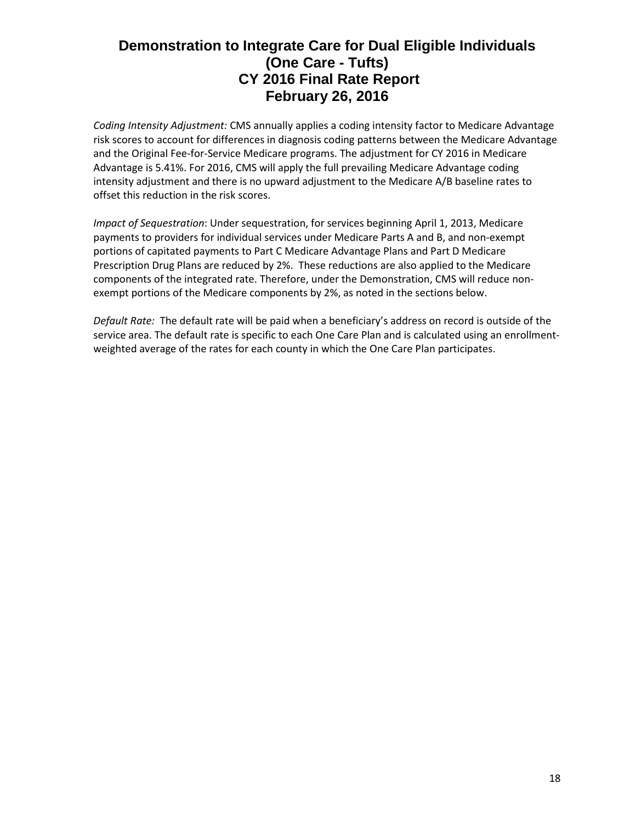*Coding Intensity Adjustment:* CMS annually applies a coding intensity factor to Medicare Advantage risk scores to account for differences in diagnosis coding patterns between the Medicare Advantage and the Original Fee-for-Service Medicare programs. The adjustment for CY 2016 in Medicare Advantage is 5.41%. For 2016, CMS will apply the full prevailing Medicare Advantage coding intensity adjustment and there is no upward adjustment to the Medicare A/B baseline rates to offset this reduction in the risk scores.

*Impact of Sequestration*: Under sequestration, for services beginning April 1, 2013, Medicare payments to providers for individual services under Medicare Parts A and B, and non-exempt portions of capitated payments to Part C Medicare Advantage Plans and Part D Medicare Prescription Drug Plans are reduced by 2%. These reductions are also applied to the Medicare components of the integrated rate. Therefore, under the Demonstration, CMS will reduce nonexempt portions of the Medicare components by 2%, as noted in the sections below.

*Default Rate:* The default rate will be paid when a beneficiary's address on record is outside of the service area. The default rate is specific to each One Care Plan and is calculated using an enrollmentweighted average of the rates for each county in which the One Care Plan participates.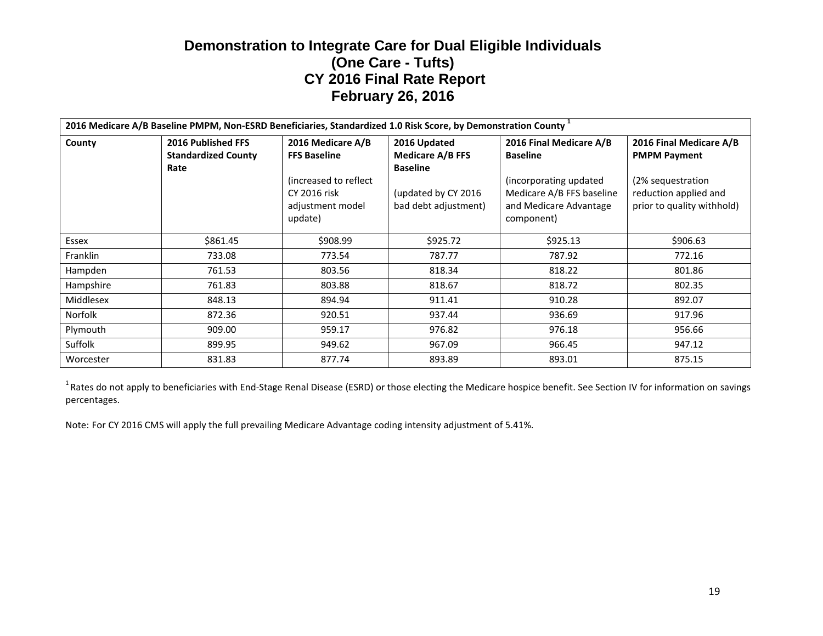| 2016 Medicare A/B Baseline PMPM, Non-ESRD Beneficiaries, Standardized 1.0 Risk Score, by Demonstration County 1 |                                                                 |                                                                                                                   |                                                                                                           |                                                                                                                                           |                                                                                                                            |  |
|-----------------------------------------------------------------------------------------------------------------|-----------------------------------------------------------------|-------------------------------------------------------------------------------------------------------------------|-----------------------------------------------------------------------------------------------------------|-------------------------------------------------------------------------------------------------------------------------------------------|----------------------------------------------------------------------------------------------------------------------------|--|
| County                                                                                                          | <b>2016 Published FFS</b><br><b>Standardized County</b><br>Rate | 2016 Medicare A/B<br><b>FFS Baseline</b><br>(increased to reflect)<br>CY 2016 risk<br>adjustment model<br>update) | 2016 Updated<br><b>Medicare A/B FFS</b><br><b>Baseline</b><br>(updated by CY 2016<br>bad debt adjustment) | 2016 Final Medicare A/B<br><b>Baseline</b><br>(incorporating updated<br>Medicare A/B FFS baseline<br>and Medicare Advantage<br>component) | 2016 Final Medicare A/B<br><b>PMPM Payment</b><br>(2% sequestration<br>reduction applied and<br>prior to quality withhold) |  |
| Essex                                                                                                           | \$861.45                                                        | \$908.99                                                                                                          | \$925.72                                                                                                  | \$925.13                                                                                                                                  | \$906.63                                                                                                                   |  |
| <b>Franklin</b>                                                                                                 | 733.08                                                          | 773.54                                                                                                            | 787.77                                                                                                    | 787.92                                                                                                                                    | 772.16                                                                                                                     |  |
| Hampden                                                                                                         | 761.53                                                          | 803.56                                                                                                            | 818.34                                                                                                    | 818.22                                                                                                                                    | 801.86                                                                                                                     |  |
| Hampshire                                                                                                       | 761.83                                                          | 803.88                                                                                                            | 818.67                                                                                                    | 818.72                                                                                                                                    | 802.35                                                                                                                     |  |
| Middlesex                                                                                                       | 848.13                                                          | 894.94                                                                                                            | 911.41                                                                                                    | 910.28                                                                                                                                    | 892.07                                                                                                                     |  |
| Norfolk                                                                                                         | 872.36                                                          | 920.51                                                                                                            | 937.44                                                                                                    | 936.69                                                                                                                                    | 917.96                                                                                                                     |  |
| Plymouth                                                                                                        | 909.00                                                          | 959.17                                                                                                            | 976.82                                                                                                    | 976.18                                                                                                                                    | 956.66                                                                                                                     |  |
| Suffolk                                                                                                         | 899.95                                                          | 949.62                                                                                                            | 967.09                                                                                                    | 966.45                                                                                                                                    | 947.12                                                                                                                     |  |
| Worcester                                                                                                       | 831.83                                                          | 877.74                                                                                                            | 893.89                                                                                                    | 893.01                                                                                                                                    | 875.15                                                                                                                     |  |

<sup>1</sup> Rates do not apply to beneficiaries with End-Stage Renal Disease (ESRD) or those electing the Medicare hospice benefit. See Section IV for information on savings percentages.

Note: For CY 2016 CMS will apply the full prevailing Medicare Advantage coding intensity adjustment of 5.41%.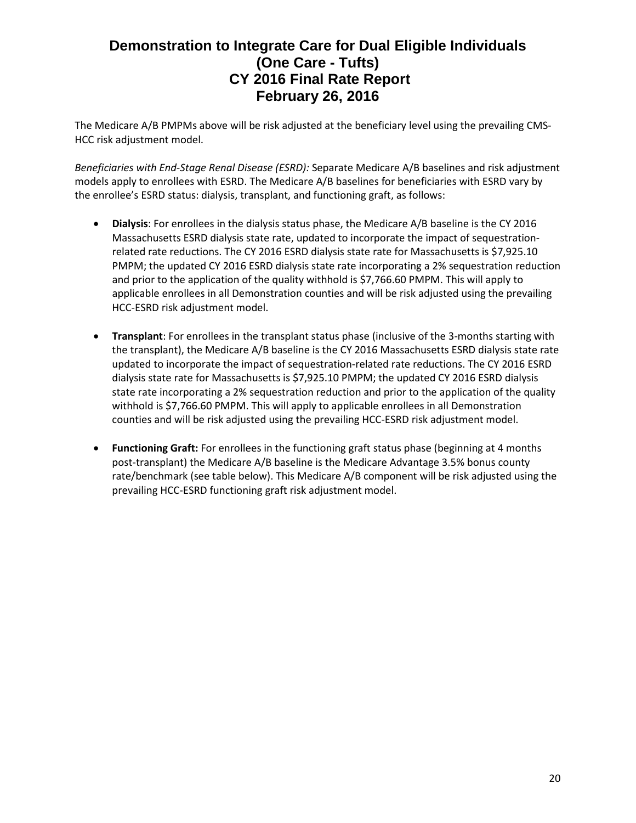The Medicare A/B PMPMs above will be risk adjusted at the beneficiary level using the prevailing CMS-HCC risk adjustment model.

*Beneficiaries with End-Stage Renal Disease (ESRD):* Separate Medicare A/B baselines and risk adjustment models apply to enrollees with ESRD. The Medicare A/B baselines for beneficiaries with ESRD vary by the enrollee's ESRD status: dialysis, transplant, and functioning graft, as follows:

- **Dialysis**: For enrollees in the dialysis status phase, the Medicare A/B baseline is the CY 2016 Massachusetts ESRD dialysis state rate, updated to incorporate the impact of sequestrationrelated rate reductions. The CY 2016 ESRD dialysis state rate for Massachusetts is \$7,925.10 PMPM; the updated CY 2016 ESRD dialysis state rate incorporating a 2% sequestration reduction and prior to the application of the quality withhold is \$7,766.60 PMPM. This will apply to applicable enrollees in all Demonstration counties and will be risk adjusted using the prevailing HCC-ESRD risk adjustment model.
- **Transplant**: For enrollees in the transplant status phase (inclusive of the 3-months starting with the transplant), the Medicare A/B baseline is the CY 2016 Massachusetts ESRD dialysis state rate updated to incorporate the impact of sequestration-related rate reductions. The CY 2016 ESRD dialysis state rate for Massachusetts is \$7,925.10 PMPM; the updated CY 2016 ESRD dialysis state rate incorporating a 2% sequestration reduction and prior to the application of the quality withhold is \$7,766.60 PMPM. This will apply to applicable enrollees in all Demonstration counties and will be risk adjusted using the prevailing HCC-ESRD risk adjustment model.
- **Functioning Graft:** For enrollees in the functioning graft status phase (beginning at 4 months post-transplant) the Medicare A/B baseline is the Medicare Advantage 3.5% bonus county rate/benchmark (see table below). This Medicare A/B component will be risk adjusted using the prevailing HCC-ESRD functioning graft risk adjustment model.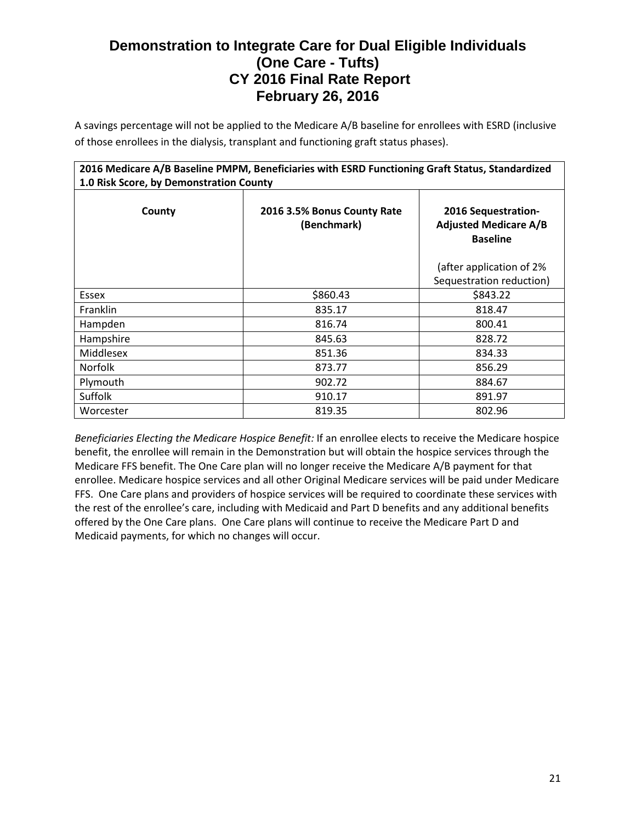A savings percentage will not be applied to the Medicare A/B baseline for enrollees with ESRD (inclusive of those enrollees in the dialysis, transplant and functioning graft status phases).

| 2016 Medicare A/B Baseline PMPM, Beneficiaries with ESRD Functioning Graft Status, Standardized<br>1.0 Risk Score, by Demonstration County |                                                                        |                                                      |  |  |  |
|--------------------------------------------------------------------------------------------------------------------------------------------|------------------------------------------------------------------------|------------------------------------------------------|--|--|--|
| County                                                                                                                                     | 2016 Sequestration-<br><b>Adjusted Medicare A/B</b><br><b>Baseline</b> |                                                      |  |  |  |
|                                                                                                                                            |                                                                        | (after application of 2%<br>Sequestration reduction) |  |  |  |
| Essex                                                                                                                                      | \$860.43                                                               | \$843.22                                             |  |  |  |
| <b>Franklin</b>                                                                                                                            | 835.17                                                                 | 818.47                                               |  |  |  |
| Hampden                                                                                                                                    | 816.74                                                                 | 800.41                                               |  |  |  |
| Hampshire                                                                                                                                  | 845.63                                                                 | 828.72                                               |  |  |  |
| Middlesex                                                                                                                                  | 851.36                                                                 | 834.33                                               |  |  |  |
| <b>Norfolk</b>                                                                                                                             | 873.77                                                                 | 856.29                                               |  |  |  |
| Plymouth                                                                                                                                   | 902.72                                                                 | 884.67                                               |  |  |  |
| <b>Suffolk</b>                                                                                                                             | 910.17                                                                 | 891.97                                               |  |  |  |
| Worcester                                                                                                                                  | 819.35                                                                 | 802.96                                               |  |  |  |

*Beneficiaries Electing the Medicare Hospice Benefit:* If an enrollee elects to receive the Medicare hospice benefit, the enrollee will remain in the Demonstration but will obtain the hospice services through the Medicare FFS benefit. The One Care plan will no longer receive the Medicare A/B payment for that enrollee. Medicare hospice services and all other Original Medicare services will be paid under Medicare FFS. One Care plans and providers of hospice services will be required to coordinate these services with the rest of the enrollee's care, including with Medicaid and Part D benefits and any additional benefits offered by the One Care plans. One Care plans will continue to receive the Medicare Part D and Medicaid payments, for which no changes will occur.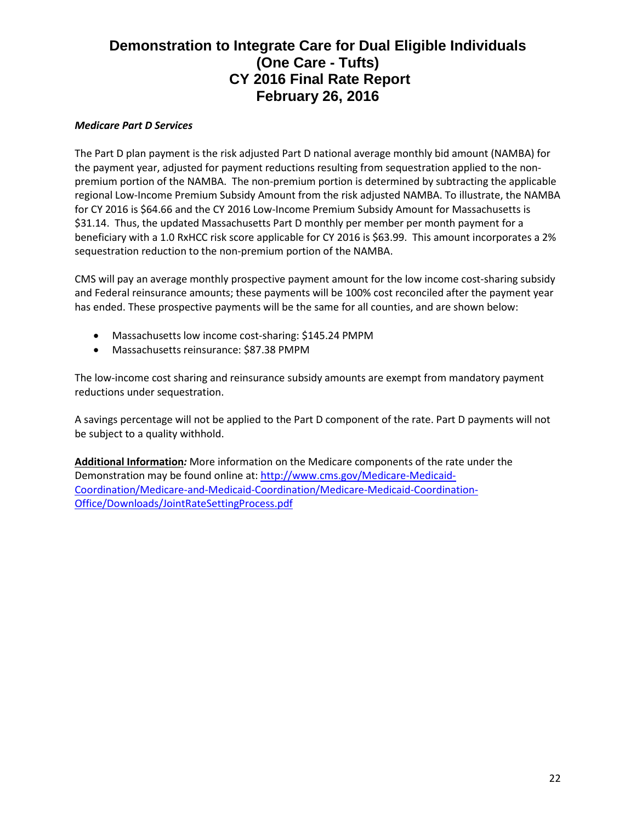### *Medicare Part D Services*

The Part D plan payment is the risk adjusted Part D national average monthly bid amount (NAMBA) for the payment year, adjusted for payment reductions resulting from sequestration applied to the nonpremium portion of the NAMBA. The non-premium portion is determined by subtracting the applicable regional Low-Income Premium Subsidy Amount from the risk adjusted NAMBA. To illustrate, the NAMBA for CY 2016 is \$64.66 and the CY 2016 Low-Income Premium Subsidy Amount for Massachusetts is \$31.14. Thus, the updated Massachusetts Part D monthly per member per month payment for a beneficiary with a 1.0 RxHCC risk score applicable for CY 2016 is \$63.99. This amount incorporates a 2% sequestration reduction to the non-premium portion of the NAMBA.

CMS will pay an average monthly prospective payment amount for the low income cost-sharing subsidy and Federal reinsurance amounts; these payments will be 100% cost reconciled after the payment year has ended. These prospective payments will be the same for all counties, and are shown below:

- Massachusetts low income cost-sharing: \$145.24 PMPM
- Massachusetts reinsurance: \$87.38 PMPM

The low-income cost sharing and reinsurance subsidy amounts are exempt from mandatory payment reductions under sequestration.

A savings percentage will not be applied to the Part D component of the rate. Part D payments will not be subject to a quality withhold.

**Additional Information***:* More information on the Medicare components of the rate under the Demonstration may be found online at: [http://www.cms.gov/Medicare-Medicaid-](http://www.cms.gov/Medicare-Medicaid-Coordination/Medicare-and-Medicaid-Coordination/Medicare-Medicaid-Coordination-Office/Downloads/JointRateSettingProcess.pdf)[Coordination/Medicare-and-Medicaid-Coordination/Medicare-Medicaid-Coordination-](http://www.cms.gov/Medicare-Medicaid-Coordination/Medicare-and-Medicaid-Coordination/Medicare-Medicaid-Coordination-Office/Downloads/JointRateSettingProcess.pdf)[Office/Downloads/JointRateSettingProcess.pdf](http://www.cms.gov/Medicare-Medicaid-Coordination/Medicare-and-Medicaid-Coordination/Medicare-Medicaid-Coordination-Office/Downloads/JointRateSettingProcess.pdf)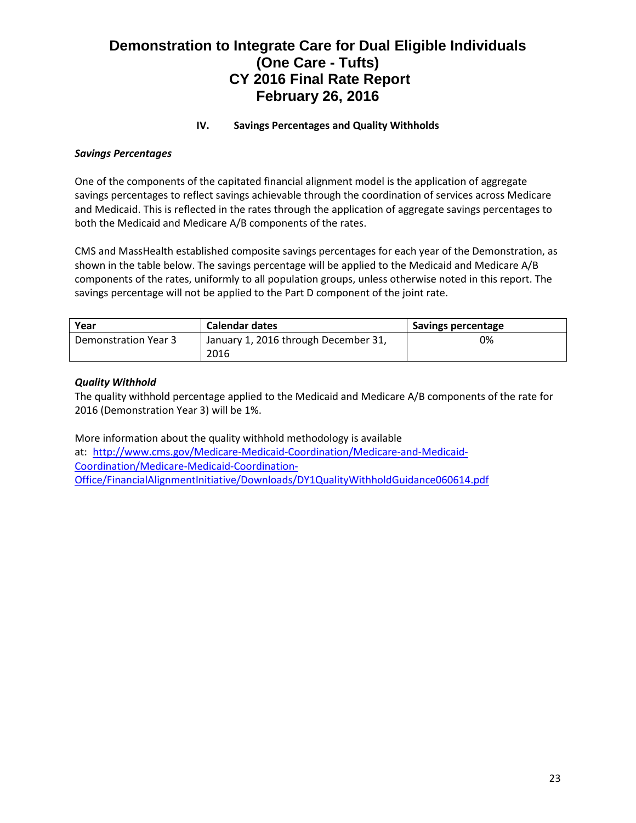## **IV. Savings Percentages and Quality Withholds**

#### *Savings Percentages*

One of the components of the capitated financial alignment model is the application of aggregate savings percentages to reflect savings achievable through the coordination of services across Medicare and Medicaid. This is reflected in the rates through the application of aggregate savings percentages to both the Medicaid and Medicare A/B components of the rates.

CMS and MassHealth established composite savings percentages for each year of the Demonstration, as shown in the table below. The savings percentage will be applied to the Medicaid and Medicare A/B components of the rates, uniformly to all population groups, unless otherwise noted in this report. The savings percentage will not be applied to the Part D component of the joint rate.

| Year                 | <b>Calendar dates</b>                | Savings percentage |
|----------------------|--------------------------------------|--------------------|
| Demonstration Year 3 | January 1, 2016 through December 31, | 0%                 |
|                      | 2016                                 |                    |

### *Quality Withhold*

The quality withhold percentage applied to the Medicaid and Medicare A/B components of the rate for 2016 (Demonstration Year 3) will be 1%.

More information about the quality withhold methodology is available at: [http://www.cms.gov/Medicare-Medicaid-Coordination/Medicare-and-Medicaid-](http://www.cms.gov/Medicare-Medicaid-Coordination/Medicare-and-Medicaid-Coordination/Medicare-Medicaid-Coordination-Office/FinancialAlignmentInitiative/Downloads/DY1QualityWithholdGuidance060614.pdf)[Coordination/Medicare-Medicaid-Coordination-](http://www.cms.gov/Medicare-Medicaid-Coordination/Medicare-and-Medicaid-Coordination/Medicare-Medicaid-Coordination-Office/FinancialAlignmentInitiative/Downloads/DY1QualityWithholdGuidance060614.pdf)[Office/FinancialAlignmentInitiative/Downloads/DY1QualityWithholdGuidance060614.pdf](http://www.cms.gov/Medicare-Medicaid-Coordination/Medicare-and-Medicaid-Coordination/Medicare-Medicaid-Coordination-Office/FinancialAlignmentInitiative/Downloads/DY1QualityWithholdGuidance060614.pdf)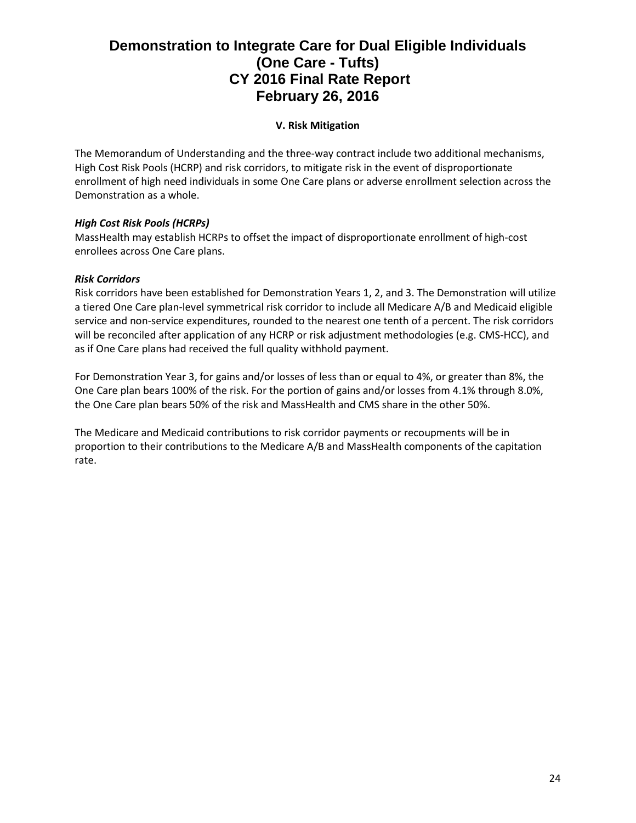## **V. Risk Mitigation**

The Memorandum of Understanding and the three-way contract include two additional mechanisms, High Cost Risk Pools (HCRP) and risk corridors, to mitigate risk in the event of disproportionate enrollment of high need individuals in some One Care plans or adverse enrollment selection across the Demonstration as a whole.

## *High Cost Risk Pools (HCRPs)*

MassHealth may establish HCRPs to offset the impact of disproportionate enrollment of high-cost enrollees across One Care plans.

### *Risk Corridors*

Risk corridors have been established for Demonstration Years 1, 2, and 3. The Demonstration will utilize a tiered One Care plan-level symmetrical risk corridor to include all Medicare A/B and Medicaid eligible service and non-service expenditures, rounded to the nearest one tenth of a percent. The risk corridors will be reconciled after application of any HCRP or risk adjustment methodologies (e.g. CMS-HCC), and as if One Care plans had received the full quality withhold payment.

For Demonstration Year 3, for gains and/or losses of less than or equal to 4%, or greater than 8%, the One Care plan bears 100% of the risk. For the portion of gains and/or losses from 4.1% through 8.0%, the One Care plan bears 50% of the risk and MassHealth and CMS share in the other 50%.

The Medicare and Medicaid contributions to risk corridor payments or recoupments will be in proportion to their contributions to the Medicare A/B and MassHealth components of the capitation rate.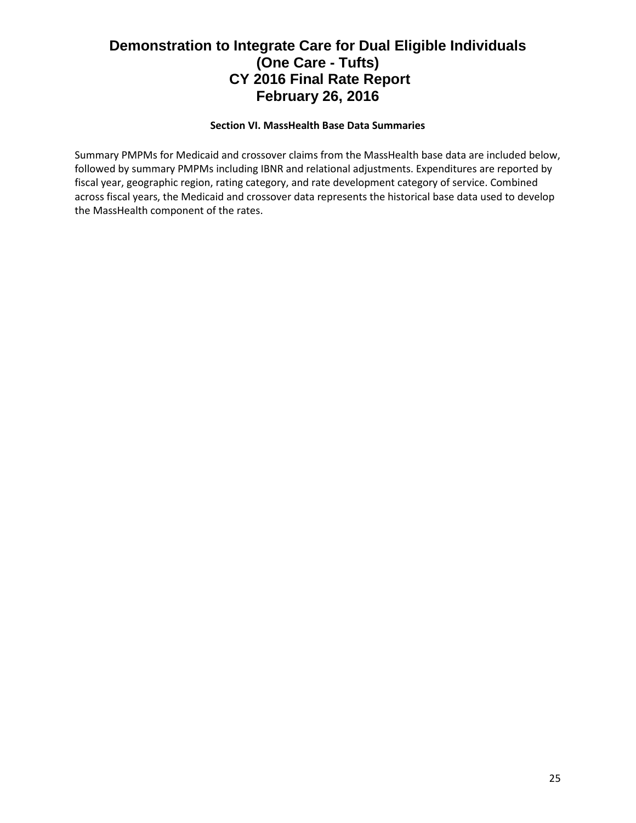### **Section VI. MassHealth Base Data Summaries**

Summary PMPMs for Medicaid and crossover claims from the MassHealth base data are included below, followed by summary PMPMs including IBNR and relational adjustments. Expenditures are reported by fiscal year, geographic region, rating category, and rate development category of service. Combined across fiscal years, the Medicaid and crossover data represents the historical base data used to develop the MassHealth component of the rates.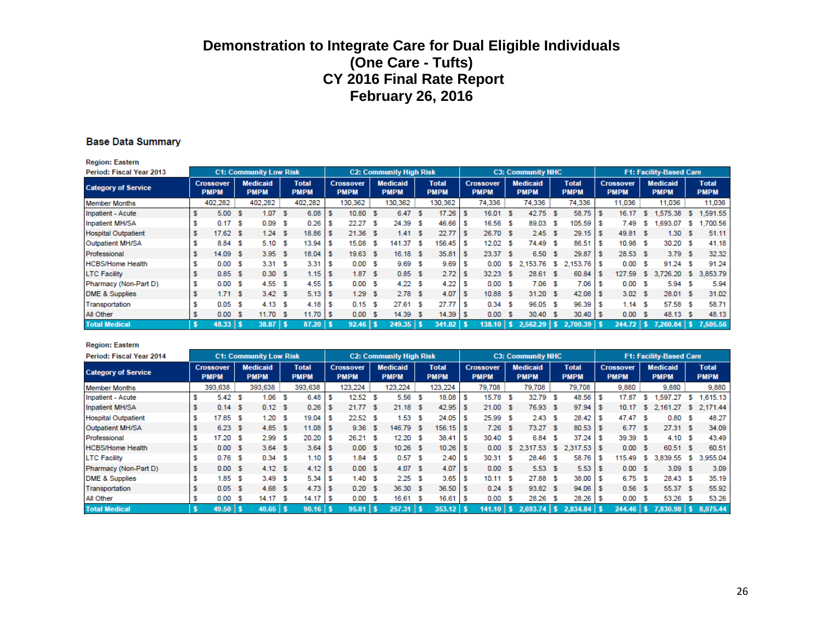#### **Base Data Summary**

**Region: Eastern** 

| Period: Fiscal Year 2013   |                                 |    | <b>C1: Community Low Risk</b>  |     |                             |     |                                 | <b>C2: Community High Risk</b> |                             |   |                                 |      | <b>C3: Community NHC</b>       |      |                             |                                 |     | <b>F1: Facility-Based Care</b> |     |                             |
|----------------------------|---------------------------------|----|--------------------------------|-----|-----------------------------|-----|---------------------------------|--------------------------------|-----------------------------|---|---------------------------------|------|--------------------------------|------|-----------------------------|---------------------------------|-----|--------------------------------|-----|-----------------------------|
| <b>Category of Service</b> | <b>Crossover</b><br><b>PMPM</b> |    | <b>Medicaid</b><br><b>PMPM</b> |     | <b>Total</b><br><b>PMPM</b> |     | <b>Crossover</b><br><b>PMPM</b> | <b>Medicaid</b><br><b>PMPM</b> | <b>Total</b><br><b>PMPM</b> |   | <b>Crossover</b><br><b>PMPM</b> |      | <b>Medicaid</b><br><b>PMPM</b> |      | <b>Total</b><br><b>PMPM</b> | <b>Crossover</b><br><b>PMPM</b> |     | <b>Medicaid</b><br><b>PMPM</b> |     | <b>Total</b><br><b>PMPM</b> |
| <b>Member Months</b>       | 402,282                         |    | 402,282                        |     | 402,282                     |     | 130,362                         | 130,362                        | 130,362                     |   | 74,336                          |      | 74,336                         |      | 74,336                      | 11,036                          |     | 11,036                         |     | 11,036                      |
| Inpatient - Acute          | 5.00                            | -S | 1.07                           | -S  | 6.08                        |     | 10.80 S                         | 6.47 S                         | 17.26                       |   | 16.01                           | - \$ | 42.75                          | - \$ | $58.75$ \$                  | 16.17                           | s   | 1,575.38                       | s   | 1.591.55                    |
| Inpatient MH/SA            | 0.17                            | -S | 0.09                           | -S  | 0.26                        |     | 22.27S                          | 24.39S                         | 46.66                       |   | 16.56                           | -S   | 89.03                          | -S   | 105.59 \$                   | 7.49                            | s   | .693.07                        | s   | .700.56                     |
| <b>Hospital Outpatient</b> | $17.62$ \$                      |    | 1.24                           | -S  | 18.86                       |     | $21.36$ \$                      | 1.41 S                         | 22.77                       |   | 26.70 \$                        |      | 2.45S                          |      | $29.15$ \$                  | 49.81 S                         |     | 1.30                           |     | 51.11                       |
| Outpatient MH/SA           | 8.84 \$                         |    | 5.10                           | - S | 13.94                       |     | 15.08 \$                        | 141.37 \$                      | 156.45                      |   | $12.02-5$                       |      | 74.49                          | - 5  | $86.51$ \$                  | 10.98 S                         |     | 30.20 \$                       |     | 41.18                       |
| Professional               | 14.09                           | -S | 3.95S                          |     | 18.04                       | - 5 | $19.63$ \$                      | $16.18$ \$                     | 35.81                       | s | 23.37 \$                        |      | 6.50 \$                        |      | $29.87$ \$                  | 28.53 S                         |     | 3.79S                          |     | 32.32                       |
| <b>HCBS/Home Health</b>    | 0.00                            | S  | 3.31 S                         |     | 3.31                        |     | 0.00 S                          | 9.69 <sup>5</sup>              | 9.69                        |   | 0.00                            | s    | 2,153.76 \$                    |      | 2,153.76 \$                 | 0.00                            | - S | 91.24                          | -S  | 91.24                       |
| <b>LTC Facility</b>        | 0.85                            | S  | 0.30 S                         |     | 1.15                        |     | 1.87S                           | 0.85S                          | 2.72                        |   | 32.23                           | -S   | 28.61 \$                       |      | 60.84 \$                    | 127.59                          | -S  | 3.726.20                       | -S. | 3,853.79                    |
| Pharmacy (Non-Part D)      | 0.00                            | -S | 4.55S                          |     | 4.55                        | s   | 0.00 S                          | 4.22S                          | 4.22                        |   | 0.00                            | - 5  | $7.06-5$                       |      | $7.06$ \$                   | 0.00 S                          |     | 5.94                           | -S  | 5.94                        |
| <b>DME &amp; Supplies</b>  | 1.71S                           |    | 3.42 S                         |     |                             |     | 1.29S                           | 2.78S                          | 4.07                        |   | 10.88 S                         |      | 31.20 \$                       |      | $42.08$ \$                  | 3.02 S                          |     | 28.01 \$                       |     | 31.02                       |
| Transportation             | 0.05                            | S  | 4.13S                          |     | 4.18                        |     | 0.15S                           | 27.61 S                        | 27.77                       |   | 0.34                            | -S   | 96.05 \$                       |      | 96.39 \$                    | 1.14 S                          |     | 57.58 \$                       |     | 58.71                       |
| All Other                  | 0.00                            | -S | 11.70 S                        |     | $11.70$ S                   |     | 0.00 S                          | 14.39 S                        | 14.39                       |   | 0.00                            | - S  | 30.40 \$                       |      | $30.40$ \$                  | 0.00 S                          |     | 48.13 \$                       |     | 48.13                       |
| <b>Total Medical</b>       | $48.33$   \$                    |    | $38.87$   \$                   |     | 87.20                       |     | $92.46$   \$                    | $249.35$   \$                  | $341.82$ \$                 |   | $138.10$   \$                   |      | $2,562.29$ \$                  |      | 2.700.39                    | $244.72$   \$                   |     | $7,260.84$   \$                |     | 7,505.56                    |

#### **Region: Eastern**

| Period: Fiscal Year 2014   |                                 |    | <b>C1: Community Low Risk</b>  |     |                             |    |                                 | <b>C2: Community High Risk</b> |    |                             |   |                                 |      | <b>C3: Community NHC</b>       |     |                             |    |                                 |    | <b>F1: Facility-Based Care</b> |    |                             |
|----------------------------|---------------------------------|----|--------------------------------|-----|-----------------------------|----|---------------------------------|--------------------------------|----|-----------------------------|---|---------------------------------|------|--------------------------------|-----|-----------------------------|----|---------------------------------|----|--------------------------------|----|-----------------------------|
| <b>Category of Service</b> | <b>Crossover</b><br><b>PMPM</b> |    | <b>Medicaid</b><br><b>PMPM</b> |     | <b>Total</b><br><b>PMPM</b> |    | <b>Crossover</b><br><b>PMPM</b> | <b>Medicaid</b><br><b>PMPM</b> |    | <b>Total</b><br><b>PMPM</b> |   | <b>Crossover</b><br><b>PMPM</b> |      | <b>Medicaid</b><br><b>PMPM</b> |     | <b>Total</b><br><b>PMPM</b> |    | <b>Crossover</b><br><b>PMPM</b> |    | <b>Medicaid</b><br><b>PMPM</b> |    | <b>Total</b><br><b>PMPM</b> |
| <b>Member Months</b>       | 393,638                         |    | 393,638                        |     | 393,638                     |    | 123,224                         | 123,224                        |    | 123,224                     |   | 79,708                          |      | 79,708                         |     | 79,708                      |    | 9,880                           |    | 9,880                          |    | 9,880                       |
| Inpatient - Acute          | 5.42                            | S  | 1.06                           | s   | 6.48                        |    | 12.52 S                         | 5.56                           | S  | 18.08                       |   | 15.78                           | s    | 32.79                          | - 5 | 48.56                       |    | 17.87                           | s. | .597.27                        | s  | 1,615.13                    |
| Inpatient MH/SA            | 0.14S                           |    | 0.12 S                         |     | 0.26                        | S  | 21.77 \$                        | $21.18$ \$                     |    | 42.95                       | s | 21.00                           | - \$ | 76.93 \$                       |     | $97.94$ \$                  |    | 10.17                           | s. | 2,161.27                       |    | \$ 2,171.44                 |
| <b>Hospital Outpatient</b> | 17.85                           | S  | 1.20                           | -S  | 19.04                       |    | 22.52S                          | 1.53                           | -S | 24.05                       |   | 25.99                           | -S   | 2.43S                          |     | 28.42                       | -S | 47.47 S                         |    | 0.80                           | -S | 48.27                       |
| Outpatient MH/SA           | 6.23 <sup>5</sup>               |    | 4.85                           | - S | 11.08                       |    | 9.36 <sup>5</sup>               | 146.79 \$                      |    | 156.15                      |   | 7.26                            | - S  | 73.27                          | - S | 80.53 \$                    |    | 6.77 S                          |    | 27.31 S                        |    | 34.09                       |
| Professional               | 17.20                           | S  | 2.99                           | -S  | 20.20                       |    | 26.21 S                         | $12.20$ \$                     |    | 38.41                       |   | 30.40 \$                        |      | 6.84                           | S   | 37.24                       | -S | 39.39 \$                        |    | 4.10 S                         |    | 43.49                       |
| <b>HCBS/Home Health</b>    | 0.00 S                          |    | 3.64 S                         |     | 3.64                        | ١s | 0.00 S                          | $10.26$ \$                     |    | 10.26                       |   | 0.00                            | S.   | 2.317.53                       | -S  | $2.317.53$ \$               |    | 0.00 S                          |    | 60.51 S                        |    | 60.51                       |
| <b>LTC Facility</b>        | 0.76                            | S  | 0.34 S                         |     | 1.10                        | S  | 1.84S                           | $0.57$ \$                      |    | 2.40                        | s | 30.31                           | s    | 28.46                          | -S  | 58.76                       | -S | 115.49                          | s. | 3.839.<br>.55                  | s  | 3,955.04                    |
| Pharmacy (Non-Part D)      | 0.00                            | -S | 4.12 S                         |     | 4.12                        |    | 0.00 S                          | 4.07 S                         |    | 4.07                        |   | 0.00 S                          |      | 5.53S                          |     | $5.53$ \$                   |    | 0.00 S                          |    | 3.09S                          |    | 3.09                        |
| <b>DME &amp; Supplies</b>  | 1.85                            | S  | 3.49                           | - S | 5.34                        |    | 1.40 S                          | $2.25$ \$                      |    | 3.65                        |   | 10.11 S                         |      | 27.88 \$                       |     | $38.00$ \ \$                |    | 6.75S                           |    | 28.43 \$                       |    | 35.19                       |
| Transportation             | 0.05                            | -S | 4.68                           | -S  | 4.73                        | -S | 0.20 S                          | 36.30 \$                       |    | 36.50                       |   | 0.24                            | -S   | 93.82 \$                       |     | 94.06 \$                    |    | 0.56S                           |    | 55.37 \$                       |    | 55.92                       |
| <b>All Other</b>           | 0.00                            | S  | 14.17                          | -S  | 14.17                       | s  | 0.00 S                          | 16.61                          | S  | 16.61                       |   | 0.00                            | S    | 28.26                          | -S  | 28.26                       | -S | 0.00                            | -S | 53.26                          | -S | 53.26                       |
| <b>Total Medical</b>       | $49.50$   \$                    |    | $40.65$   \$                   |     | $90.16$ \$                  |    | $95.81$   \$                    | $257.31$   \$                  |    | $353.12$ \$                 |   | $141.10$   \$                   |      | $2.693.74$   \$                |     | $2.834.84$ \$               |    | $244.46$   \$                   |    | $7,830.98$   \$                |    | 8.075.44                    |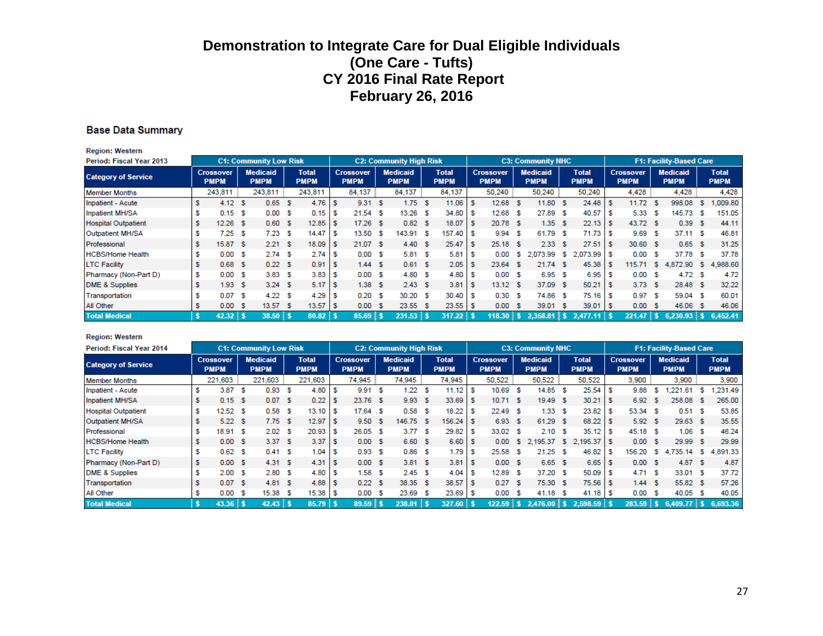#### **Base Data Summary**

| <b>Region: Western</b>     |                                 |      |                                |    |                             |              |                                 |                                |                             |   |                                 |     |                                |          |                             |      |                                 |     |                                |    |                             |
|----------------------------|---------------------------------|------|--------------------------------|----|-----------------------------|--------------|---------------------------------|--------------------------------|-----------------------------|---|---------------------------------|-----|--------------------------------|----------|-----------------------------|------|---------------------------------|-----|--------------------------------|----|-----------------------------|
| Period: Fiscal Year 2013   |                                 |      | <b>C1: Community Low Risk</b>  |    |                             |              |                                 | <b>C2: Community High Risk</b> |                             |   |                                 |     | <b>C3: Community NHC</b>       |          |                             |      |                                 |     | <b>F1: Facility-Based Care</b> |    |                             |
| <b>Category of Service</b> | <b>Crossover</b><br><b>PMPM</b> |      | <b>Medicaid</b><br><b>PMPM</b> |    | <b>Total</b><br><b>PMPM</b> |              | <b>Crossover</b><br><b>PMPM</b> | <b>Medicaid</b><br><b>PMPM</b> | <b>Total</b><br><b>PMPM</b> |   | <b>Crossover</b><br><b>PMPM</b> |     | <b>Medicaid</b><br><b>PMPM</b> |          | <b>Total</b><br><b>PMPM</b> |      | <b>Crossover</b><br><b>PMPM</b> |     | <b>Medicaid</b><br><b>PMPM</b> |    | <b>Total</b><br><b>PMPM</b> |
| <b>Member Months</b>       | 243,811                         |      | 243,811                        |    | 243,811                     |              | 84,137                          | 84,137                         | 84,137                      |   | 50.240                          |     | 50,240                         |          | 50,240                      |      | 4.428                           |     | 4.428                          |    | 4,428                       |
| Inpatient - Acute          | 4.12 <sup>5</sup>               |      | 0.65                           | -S | 4.76                        |              | 9.31 S                          | 1.75S                          | 11.06                       |   | 12.68                           | - S | 11.80 \$                       |          | 24.48                       | - 35 | 11.72                           | -S  | 998.08                         | s  | .009.80                     |
| Inpatient MH/SA            | $0.15-5$                        |      | 0.00                           | -S | 0.15                        |              | $21.54$ \$                      | $13.26$ \$                     | 34.80                       | s | 12.68                           | - S | 27.89                          | - S      | 40.57                       | -S   | 5.33S                           |     | 145.73                         | s  | 151.05                      |
| <b>Hospital Outpatient</b> | $12.26$ \$                      |      | 0.60                           | -S | 12.85                       |              | $17.26$ \$                      | $0.82-5$                       | 18.07                       |   | 20.78 \$                        |     | 1.35S                          |          | 22.13                       | - 5  | 43.72 \$                        |     | 0.39                           | s  | 44.11                       |
| Outpatient MH/SA           | 7.25                            | S    | 7.23                           | -S | 14.47                       |              | 13.50 \$                        | 143.91 \$                      | 157.40                      |   | 9.94                            | - 5 | 61.79                          | - S      | 71.73                       | -S   | 9.69                            | - S | 37.11 S                        |    | 46.81                       |
| Professional               | 15.87 \$                        |      | 2.21 S                         |    | 18.09                       |              | 21.07 \$                        | 4.40 S                         | 25.47                       |   | $25.18$ \$                      |     | 2.33S                          |          | 27.51                       | - 3  | 30.60 \$                        |     | 0.65S                          |    | 31.25                       |
| <b>HCBS/Home Health</b>    | 0.00                            | - 35 | 2.74S                          |    | 2.74                        |              | 0.00 S                          | 5.81S                          | 5.81                        |   | 0.00                            | -S  | 2,073.99                       | <b>S</b> | $2,073.99$ \$               |      | 0.00 S                          |     | 37.78                          | -S | 37.78                       |
| <b>LTC Facility</b>        | 0.68 <sub>5</sub>               |      | 0.22 S                         |    | 0.91                        |              | 1.44S                           | 0.61 S                         | 2.05                        |   | 23.64                           | - 5 | 21.74 \$                       |          | 45.38                       | -S   | 115.71                          | -S. | 4,872.90 \$                    |    | 4,988.60                    |
| Pharmacy (Non-Part D)      | 0.00                            | - 5  | 3.83S                          |    | 3.83                        |              | 0.00 S                          | 4.80 \$                        | 4.80                        |   | 0.00 S                          |     | 6.95 <sup>5</sup>              |          | 6.95                        | -S   | 0.00 S                          |     | 4.72                           | -S | 4.72                        |
| <b>DME &amp; Supplies</b>  | 1.93 <sub>5</sub>               |      | 3.24 S                         |    | 5.17                        |              | 1.38S                           | 2.43S                          | 3.81                        |   | $13.12$ \$                      |     | 37.09                          | - \$     | 50.21                       | - 5  | 3.73S                           |     | 28.48 \$                       |    | 32.22                       |
| Transportation             | 0.07 S                          |      | 4.22 S                         |    | 4.29                        |              | $0.20-5$                        | 30.20 S                        | 30.40                       |   | 0.30                            | -S  | 74.86 \$                       |          | 75.16                       | S    | 0.97 S                          |     | 59.04 \$                       |    | 60.01                       |
| All Other                  | 0.00                            | - S  | 13.57                          | -S | 13.57                       | $\mathsf{I}$ | 0.00 S                          | 23.55 \$                       | 23.55                       |   | 0.00                            | - S | 39.01 \$                       |          | $39.01$ \$                  |      | 0.00 S                          |     | 46.06                          | s  | 46.06                       |
| <b>Total Medical</b>       | $42.32$   \$                    |      | $38.50$   \$                   |    | $80.82$ \$                  |              | $85.69$   \$                    | $231.53$   \$                  | $317.22$   \$               |   | $118.30$   \$                   |     | $2.358.81$   \$                |          |                             |      | $221.47$   \$                   |     | $6.230.93$   \$                |    | 6.452.41                    |

#### **Region: Western**

| Period: Fiscal Year 2014   |   |                                 |      | <b>C1: Community Low Risk</b>  |    |                             |     |                                 | <b>C2: Community High Risk</b> |                             |    |                                 |     | <b>C3: Community NHC</b>       |      |                             |      |                                 |           | <b>F1: Facility-Based Care</b> |    |                             |
|----------------------------|---|---------------------------------|------|--------------------------------|----|-----------------------------|-----|---------------------------------|--------------------------------|-----------------------------|----|---------------------------------|-----|--------------------------------|------|-----------------------------|------|---------------------------------|-----------|--------------------------------|----|-----------------------------|
| <b>Category of Service</b> |   | <b>Crossover</b><br><b>PMPM</b> |      | <b>Medicaid</b><br><b>PMPM</b> |    | <b>Total</b><br><b>PMPM</b> |     | <b>Crossover</b><br><b>PMPM</b> | <b>Medicaid</b><br><b>PMPM</b> | <b>Total</b><br><b>PMPM</b> |    | <b>Crossover</b><br><b>PMPM</b> |     | <b>Medicaid</b><br><b>PMPM</b> |      | <b>Total</b><br><b>PMPM</b> |      | <b>Crossover</b><br><b>PMPM</b> |           | <b>Medicaid</b><br><b>PMPM</b> |    | <b>Total</b><br><b>PMPM</b> |
| <b>Member Months</b>       |   | 221,603                         |      | 221,603                        |    | 221,603                     |     | 74,945                          | 74,945                         | 74,945                      |    | 50,522                          |     | 50,522                         |      | 50,522                      |      | 3,900                           |           | 3,900                          |    | 3,900                       |
| Inpatient - Acute          |   | 3.87                            | - 5  | 0.93                           | s  | 4.80                        | s   | 9.91 S                          | 1.22S                          | 11.12                       |    | 10.69                           | s   | 14.85                          | -S   | 25.54                       |      | 9.88                            | s.        | .221.61                        | -S | .231.49                     |
| Inpatient MH/SA            |   | 0.15S                           |      | 0.07                           | -S | 0.22                        |     | 23.76 \$                        | 9.93 S                         | 33.69                       | s  | 10.71 S                         |     | 19.49 \$                       |      | 30.21                       |      | 6.92                            | -S        | 258.08                         | -S | 265.00                      |
| <b>Hospital Outpatient</b> |   | 12.52                           | S    | 0.58                           | s  | 13.10                       |     | $17.64$ \$                      | $0.58-5$                       | 18.22                       |    | 22.49                           | -S  | 1.33                           | S    | 23.82                       |      | 53.34 \$                        |           | 0.51 S                         |    | 53.85                       |
| Outpatient MH/SA           |   | 5.22S                           |      | 7.75S                          |    | 12.97                       |     | 9.50 S                          | 146.75 \$                      | 156.24                      | s  | 6.93                            | -S  | 61.29 \$                       |      | 68.22                       |      | 5.92 S                          |           | 29.63 \$                       |    | 35.55                       |
| Professional               |   | 18.91                           | S    | 2.02                           | -S | 20.93                       | - 5 | 26.05S                          | 3.77S                          | 29.82                       |    | 33.02                           | S   | 2.10                           | S    | 35.12                       |      | 45.18 S                         |           | 1.06                           | -S | 46.24                       |
| <b>HCBS/Home Health</b>    |   | 0.00 S                          |      | 3.37 S                         |    | 3.37                        | s   | 0.00 S                          | 6.60 \$                        | 6.60                        | -S | 0.00                            | -S. |                                |      | 2,195.37 \$ 2,195.37 \$     |      | 0.00 S                          |           | 29.99 \$                       |    | 29.99                       |
| <b>LTC Facility</b>        |   | 0.62                            | S    | 0.41 S                         |    | 1.04                        |     | 0.93 <sup>5</sup>               | $0.86-5$                       | 1.79                        |    | 25.58                           | -S  | 21.25                          | s    | 46.82                       |      | 156.20                          | -S.       | 4.735.14                       | -S | 4,891.33                    |
| Pharmacy (Non-Part D)      | s | 0.00                            | - 53 | 4.31                           | -S | 4.31                        | -S  | 0.00 S                          | 3.81S                          | 3.81                        | -S | 0.00 S                          |     | 6.65                           | - \$ | 6.65                        | - 35 | 0.00 S                          |           | 4.87 $S$                       |    | 4.87                        |
| DME & Supplies             |   | 2.00                            | S    | 2.80 S                         |    | 4.80                        | S   | 1.58S                           | 2.45S                          | 4.04                        |    | 12.89                           | S   | 37.20                          | - 5  | 50.09                       |      | 4.71 S                          |           | 33.01 S                        |    | 37.72                       |
| Transportation             |   | 0.07 S                          |      | 4.81 S                         |    | 4.88                        |     | 0.22S                           | 38.35 \$                       | 38.57                       |    | 0.27                            | -S  | 75.30 \$                       |      | 75.56 \$                    |      | 1.44 S                          |           | 55.82 \$                       |    | 57.26                       |
| All Other                  |   | 0.00                            | S    | 15.38                          | -S | 15.38                       | -S  | 0.00 S                          | 23.69 \$                       | 23.69                       |    | 0.00                            | S   | 41.18                          | - S  |                             |      | 0.00 S                          |           | 40.05 S                        |    | 40.05                       |
| <b>Total Medical</b>       |   | $43.36$   \$                    |      | $42.43$   \$                   |    | 85.79                       |     | $89.59$   \$                    | 238.01                         | 327.60                      |    | $122.59$   \$                   |     | $2.476.00$ S                   |      | $2,598.59$ \$               |      | 283.59                          | <b>TA</b> | $6,409.77$ \ \$                |    | 6,693.36                    |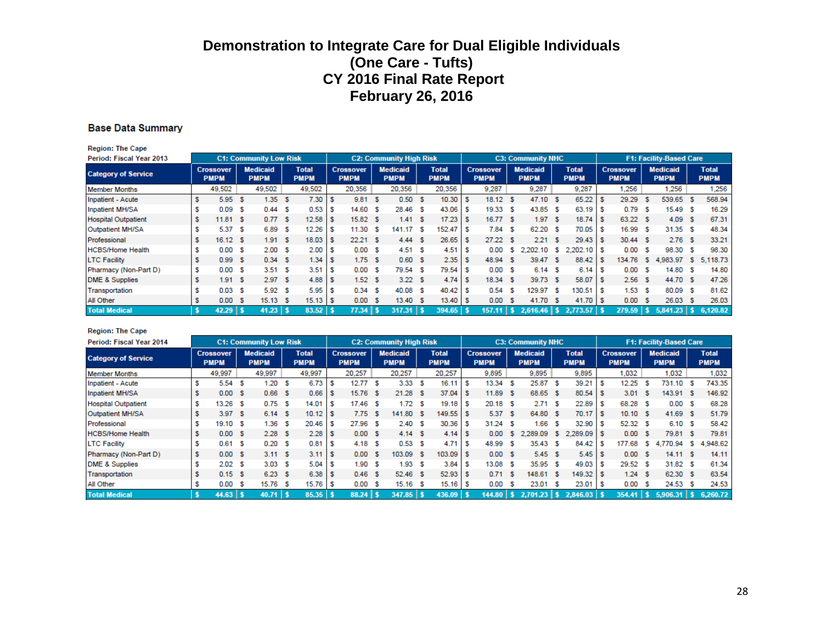#### **Base Data Summary**

| <b>Region: The Cape</b>    |    |                                 |      |                                |    |                             |    |                                 |     |                                |      |                             |   |                                 |      |                                |      |                             |     |                                 |     |                                |     |                             |
|----------------------------|----|---------------------------------|------|--------------------------------|----|-----------------------------|----|---------------------------------|-----|--------------------------------|------|-----------------------------|---|---------------------------------|------|--------------------------------|------|-----------------------------|-----|---------------------------------|-----|--------------------------------|-----|-----------------------------|
| Period: Fiscal Year 2013   |    |                                 |      | <b>C1: Community Low Risk</b>  |    |                             |    |                                 |     | <b>C2: Community High Risk</b> |      |                             |   |                                 |      | <b>C3: Community NHC</b>       |      |                             |     |                                 |     | <b>F1: Facility-Based Care</b> |     |                             |
| <b>Category of Service</b> |    | <b>Crossover</b><br><b>PMPM</b> |      | <b>Medicaid</b><br><b>PMPM</b> |    | <b>Total</b><br><b>PMPM</b> |    | <b>Crossover</b><br><b>PMPM</b> |     | <b>Medicaid</b><br><b>PMPM</b> |      | <b>Total</b><br><b>PMPM</b> |   | <b>Crossover</b><br><b>PMPM</b> |      | <b>Medicaid</b><br><b>PMPM</b> |      | <b>Total</b><br><b>PMPM</b> |     | <b>Crossover</b><br><b>PMPM</b> |     | <b>Medicaid</b><br><b>PMPM</b> |     | <b>Total</b><br><b>PMPM</b> |
| <b>Member Months</b>       |    | 49,502                          |      | 49,502                         |    | 49,502                      |    | 20,356                          |     | 20,356                         |      | 20,356                      |   | 9,287                           |      | 9,287                          |      | 9,287                       |     | 1.256                           |     | 1.256                          |     | 1,256                       |
| Inpatient - Acute          | \$ | 5.95                            | - 5  | 1.35                           | s  | 7.30                        |    | 9.81                            | - S | 0.50 S                         |      | 10.30                       |   | 18.12                           | s    | 47.10                          | - 56 | 65.22                       |     | 29.29                           | -5  | 539.65                         |     | 568.94                      |
| Inpatient MH/SA            | s  | 0.09                            | S    | 0.44                           | s  | 0.53                        | s  | 14.60 \$                        |     | 28.46 \$                       |      | 43.06                       |   | 19.33                           | S    | 43.85                          | -S   | 63.19                       |     | 0.79                            | -S  | 15.49 S                        |     | 16.29                       |
| <b>Hospital Outpatient</b> | s  | 11.81 S                         |      | 0.77 S                         |    | 12.58                       | s  | 15.82S                          |     | 1.41 S                         |      | 17.23                       |   | 16.77S                          |      | 1.97                           | -S   | 18.74                       |     | 63.22 \$                        |     | 4.09 S                         |     | 67.31                       |
| Outpatient MH/SA           | s  | 5.37S                           |      | 6.89                           | s  | 12.26                       | s  | 11.30 S                         |     | 141.17                         | - \$ | 152.47                      | s | 7.84                            | S    | 62.20                          | -S   | 70.05                       | S   | 16.99 S                         |     | 31.35 S                        |     | 48.34                       |
| Professional               | s  | 16.12 S                         |      | 1.91                           | -S | 18.03                       | s  | 22.21 S                         |     | 4.44 S                         |      | 26.65                       | s | 27.22                           | -S   | 2.21                           | -S   | 29.43                       | - 5 | 30.44 S                         |     | 2.76S                          |     | 33.21                       |
| <b>HCBS/Home Health</b>    | s  | 0.00 S                          |      | 2.00                           | s  | 2.00                        | s  | 0.00 S                          |     | 4.51 S                         |      | 4.51                        |   | 0.00                            | s    | 2,202.10                       | s.   | $2,202.10$ \$               |     | 0.00                            | -S  | 98.30 S                        |     | 98.30                       |
| <b>LTC Facility</b>        | s  | 0.99S                           |      | 0.34 S                         |    | 1.34                        | s  | 1.75S                           |     | 0.60 S                         |      | 2.35                        |   | 48.94                           | s    | 39.47                          | -S   | 88.42                       |     | 134.76                          | -S  | 4,983.97                       | -S. | 5.118.73                    |
| Pharmacy (Non-Part D)      | \$ | 0.00 S                          |      | 3.51 S                         |    | 3.51                        | s  | 0.00 S                          |     | 79.54 \$                       |      | 79.54                       |   | 0.00                            | s    | 6.14                           | - S  | 6.14                        |     | 0.00                            | -S  | 14.80                          |     | 14.80                       |
| DME & Supplies             | s  | 1.91 S                          |      | 2.97 S                         |    | 4.88                        | S  | 1.52 <sup>5</sup>               |     | 3.22S                          |      | 4.74                        |   | 18.34                           | - \$ | 39.73                          | - S  | 58.07                       |     | 2.56S                           |     | 44.70 \$                       |     | 47.26                       |
| Transportation             | s  | 0.03 <sub>5</sub>               |      | 5.92                           | s  | 5.95                        | s  | 0.34                            | - 5 | 40.08 \$                       |      | 40.42                       |   | 0.54                            | s    | 129.97                         | s    | 130.51                      |     | 1.53S                           |     | 80.09 S                        |     | 81.62                       |
| All Other                  | \$ | 0.00                            | - \$ | 15.13                          | -S | 15.13                       | ΙS | 0.00 S                          |     | 13.40 S                        |      | 13.40                       |   | 0.00                            | s    | 41.70                          | - 56 | 41.70                       |     | 0.00 S                          |     | 26.03                          |     | 26.03                       |
| <b>Total Medical</b>       |    | 42.29                           |      | $41.23$   \$                   |    | $83.52$ \$                  |    | 77.34 S                         |     | 317.31                         | ∣s   | 394.65                      |   | 157.11 S                        |      | $2.616.46$ S                   |      | $2.773.57$ \$               |     | 279.59                          | 457 | 5.841.23                       |     | 6,120.82                    |

#### **Region: The Cape**

| Period: Fiscal Year 2014   |                                 |     | <b>C1: Community Low Risk</b>  |     |                             |    |                                 | <b>C2: Community High Risk</b> |                             |    |                                 |      | <b>C3: Community NHC</b>       |     |                             |    |                                 |     | <b>F1: Facility-Based Care</b> |    |                             |
|----------------------------|---------------------------------|-----|--------------------------------|-----|-----------------------------|----|---------------------------------|--------------------------------|-----------------------------|----|---------------------------------|------|--------------------------------|-----|-----------------------------|----|---------------------------------|-----|--------------------------------|----|-----------------------------|
| <b>Category of Service</b> | <b>Crossover</b><br><b>PMPM</b> |     | <b>Medicaid</b><br><b>PMPM</b> |     | <b>Total</b><br><b>PMPM</b> |    | <b>Crossover</b><br><b>PMPM</b> | <b>Medicaid</b><br><b>PMPM</b> | <b>Total</b><br><b>PMPM</b> |    | <b>Crossover</b><br><b>PMPM</b> |      | <b>Medicaid</b><br><b>PMPM</b> |     | <b>Total</b><br><b>PMPM</b> |    | <b>Crossover</b><br><b>PMPM</b> |     | <b>Medicaid</b><br><b>PMPM</b> |    | <b>Total</b><br><b>PMPM</b> |
| <b>Member Months</b>       | 49,997                          |     | 49,997                         |     | 49,997                      |    | 20,257                          | 20.257                         | 20,257                      |    | 9.895                           |      | 9,895                          |     | 9,895                       |    | 1,032                           |     | 1,032                          |    | 1,032                       |
| Inpatient - Acute          | 5.54                            | -S  | 1.20                           | -S  | 6.73                        |    | 12.77S                          | 3.33 <sup>5</sup>              | 16.11                       |    | 13.34                           | - 5  | 25.87                          | - S | 39.21                       |    | 12.25                           | s   | 731.10                         |    | 743.35                      |
| Inpatient MH/SA            | 0.00                            | -S  | 0.66                           | - S | 0.66                        | s  | $15.76$ \$                      | $21.28$ \$                     | 37.04                       | s  | 11.89                           | - \$ | 68.65 \$                       |     |                             |    | 3.01                            | -S  | 143.91 S                       |    | 146.92                      |
| <b>Hospital Outpatient</b> | 13.26                           | S   | 0.75                           | -S  | 14.01                       |    | $17.46$ \$                      | 1.72S                          | 19.18                       | s  | $20.18$ \$                      |      | 2.71                           | - S | 22.89                       | -S | 68.28 \$                        |     | 0.00                           | -S | 68.28                       |
| Outpatient MH/SA           | 3.97                            | -S  | 6.14 S                         |     | 10.12                       |    | 7.75S                           | 141.80 \$                      | 149.55                      |    | 5.37                            | - S  | 64.80 \$                       |     | $70.17$ \$                  |    | 10.10 S                         |     | 41.69 S                        |    | 51.79                       |
| Professional               | 19.10                           | S   | 1.36                           | -S  | 20.46                       |    | 27.96 \$                        | 2.40 S                         | 30.36                       | s  | 31.24                           | - S  | 1.66                           | -S  | $32.90$ \$                  |    | 52.32 \$                        |     | 6.10 S                         |    | 58.42                       |
| <b>HCBS/Home Health</b>    | 0.00                            | -S  | 2.28S                          |     | 2.28                        |    | 0.00 S                          | 4.14S                          | 4.14                        | s  | 0.00                            | s.   | 2.289.09                       | -S  | $2.289.09$ \$               |    | 0.00                            | - S | 79.81 S                        |    | 79.81                       |
| <b>LTC Facility</b>        | 0.61                            | S   | 0.20                           | - S | 0.81                        |    | 4.18 <sup>5</sup>               | 0.53 <sup>5</sup>              | 4.71                        | s  | 48.99                           | -S   | 35.43 \$                       |     | 84.42                       |    | 177.68                          | s   | 4.770.94                       | s  | 4,948.62                    |
| Pharmacy (Non-Part D)      | 0.00                            | - 5 | 3.11 S                         |     | 3.11                        | ΙS | 0.00 S                          | 103.09 \$                      | 103.09                      | s  | 0.00 S                          |      | 5.45S                          |     |                             |    | 0.00 S                          |     | 14.11 S                        |    | 14.11                       |
| <b>DME &amp; Supplies</b>  | 2.02                            | -S  | 3.03                           | -S  | 5.04                        |    | 1.90S                           | 1.93 <sub>5</sub>              | 3.84                        | s  | 13.08                           | -S   | 35.95                          | - 5 | 49.03                       | -S | 29.52 \$                        |     | 31.82 S                        |    | 61.34                       |
| Transportation             | 0.15                            | -S  | 6.23 S                         |     | 6.38                        |    | $0.46-5$                        | $52.46$ \$                     | 52.93                       | -S | 0.71                            | -S   | 148.61                         | - S | $149.32$ \$                 |    | 1.24 S                          |     | 62.30 \$                       |    | 63.54                       |
| All Other                  | 0.00                            | S   | 15.76                          | - S | 15.76                       |    | 0.00 S                          | $15.16$ \$                     | 15.16                       |    | 0.00                            | -S   | 23.01                          | - 5 | $23.01$ \$                  |    | 0.00                            | -S  | 24.53 \$                       |    | 24.53                       |
| <b>Total Medical</b>       | $44.63$   \$                    |     | $40.71$   \$                   |     | $85.35$ \$                  |    | $88.24$   \$                    | $347.85$   \$                  | $436.09$ \$                 |    | $144.80$   \$                   |      | $2,701.23$   \$                |     | 2,846.03                    |    | $354.41$   \$                   |     | $5,906,31$   \$                |    | 6,260.72                    |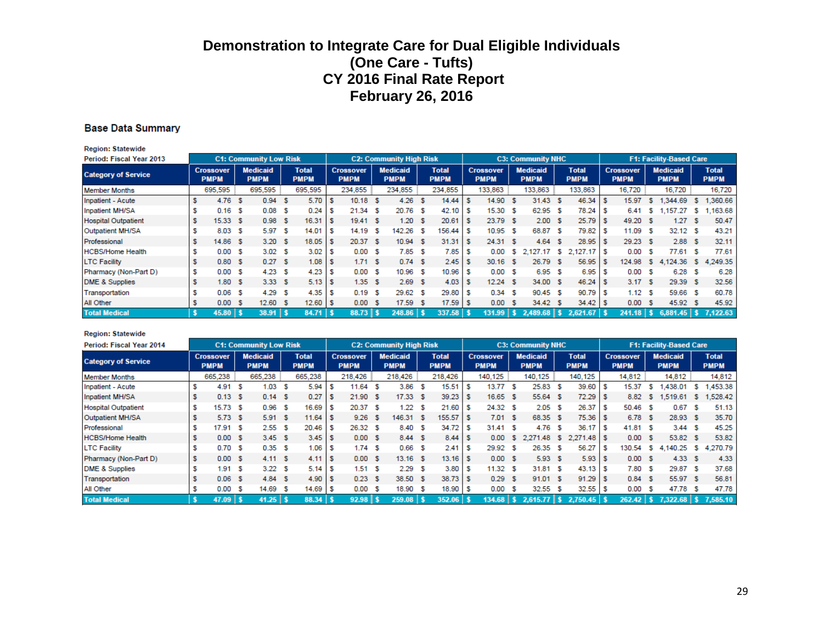#### **Base Data Summary**

**Region: Statewide** 

| <b>Period: Fiscal Year 2013</b> |   |                                 |     | <b>C1: Community Low Risk</b>  |     |                             |     |                                 | <b>C2: Community High Risk</b> |    |                             |     |                                 |      | <b>C3: Community NHC</b>       |     |                             |      |                                 |     | <b>F1: Facility-Based Care</b> |    |                             |
|---------------------------------|---|---------------------------------|-----|--------------------------------|-----|-----------------------------|-----|---------------------------------|--------------------------------|----|-----------------------------|-----|---------------------------------|------|--------------------------------|-----|-----------------------------|------|---------------------------------|-----|--------------------------------|----|-----------------------------|
| <b>Category of Service</b>      |   | <b>Crossover</b><br><b>PMPM</b> |     | <b>Medicaid</b><br><b>PMPM</b> |     | <b>Total</b><br><b>PMPM</b> |     | <b>Crossover</b><br><b>PMPM</b> | <b>Medicaid</b><br><b>PMPM</b> |    | <b>Total</b><br><b>PMPM</b> |     | <b>Crossover</b><br><b>PMPM</b> |      | <b>Medicaid</b><br><b>PMPM</b> |     | <b>Total</b><br><b>PMPM</b> |      | <b>Crossover</b><br><b>PMPM</b> |     | <b>Medicaid</b><br><b>PMPM</b> |    | <b>Total</b><br><b>PMPM</b> |
| <b>Member Months</b>            |   | 695,595                         |     | 695,595                        |     | 695,595                     |     | 234,855                         | 234,855                        |    | 234,855                     |     | 133,863                         |      | 133,863                        |     | 133,863                     |      | 16,720                          |     | 16,720                         |    | 16,720                      |
| Inpatient - Acute               |   | 4.76                            | -S  | 0.94                           | -S  | 5.70                        |     | $10.18$ \$                      | 4.26                           | -S | 14.44                       | s   | 14.90                           | - S  | $31.43$ \$                     |     | 46.34                       | S    | 15.97                           | s.  | 1.344.69                       | s  | ,360.66                     |
| <b>Inpatient MH/SA</b>          |   | 0.16                            | S   | 0.08                           | s   | 0.24                        | s   | $21.34$ \$                      | 20.76 \$                       |    | 42.10                       | s   | 15.30                           | -S   | 62.95 \$                       |     | 78.24                       | l S  | 6.41                            | -S  | 1.157.27                       | s. | ,163.68                     |
| <b>Hospital Outpatient</b>      |   | $15.33$ \$                      |     | 0.98                           | -S  | 16.31                       | s   | 19.41 S                         | 1.20 S                         |    | 20.61                       |     | 23.79 \$                        |      | 2.00 S                         |     | 25.79                       | - 5  | 49.20 S                         |     | 1.27                           | s  | 50.47                       |
| Outpatient MH/SA                |   | 8.03                            | S   | 5.97                           | -S  | 14.01                       |     | 14.19 S                         | 142.26 \$                      |    | 156.44                      | s   | 10.95                           | - \$ | 68.87 \$                       |     | 79.82                       | S    | 11.09 S                         |     | 32.12                          | -S | 43.21                       |
| Professional                    |   | 14.86 \$                        |     | 3.20 S                         |     | 18.05                       | s   | 20.37 \$                        | $10.94$ \$                     |    | 31.31                       | ∣\$ | 24.31 \$                        |      | 4.64                           | - S | 28.95                       | - S  | 29.23 \$                        |     | 2.88                           | -S | 32.11                       |
| <b>HCBS/Home Health</b>         |   | 0.00                            | S   | 3.02 S                         |     | 3.02                        |     | 0.00 S                          | 7.85S                          |    | 7.85                        |     | 0.00                            | s.   | 2,127.17 \$                    |     | $2,127.17$ \$               |      | 0.00                            | -S  | 77.61                          | s  | 77.61                       |
| <b>LTC Facility</b>             |   | 0.80 <sup>5</sup>               |     | 0.27 S                         |     | 1.08                        | - 5 | 1.71 S                          | 0.74S                          |    | 2.45                        | s   | $30.16$ \$                      |      | 26.79 \$                       |     | 56.95                       | -S   | 124.98                          | 'S. | 4,124.36                       | S. | 4,249.35                    |
| Pharmacy (Non-Part D)           | S | 0.00                            | -S  | 4.23                           | -S  | 4.23                        | s   | 0.00 S                          | 10.96 \$                       |    | 10.96                       | s   | 0.00                            | -S   | 6.95 \$                        |     | 6.95                        | -S   | 0.00                            | -S  | 6.28                           | s  | 6.28                        |
| <b>DME &amp; Supplies</b>       |   | 1.80S                           |     | 3.33S                          |     | $5.13$ \$                   |     | 1.35S                           | 2.69S                          |    | 4.03                        | s   | $12.24$ \$                      |      | 34.00 \$                       |     | 46.24                       | l S  | 3.17S                           |     | 29.39                          | -S | 32.56                       |
| Transportation                  |   | 0.06                            | S   | 4.29                           | -S  | 4.35                        | s   | 0.19S                           | 29.62 \$                       |    | 29.80                       |     | 0.34                            | - \$ | 90.45 \$                       |     | 90.79                       | - 5  | 1.12 S                          |     | 59.66                          | -S | 60.78                       |
| All Other                       |   | 0.00                            | - 5 | 12.60                          | - S | 12.60                       | ΙS  | 0.00 S                          | $17.59$ \$                     |    | 17.59                       | s   | 0.00                            | - 5  | 34.42 \$                       |     | 34.42                       | - 56 | 0.00                            | -S  | 45.92                          | -S | 45.92                       |
| <b>Total Medical</b>            |   | $45.80$   \$                    |     | $38.91$   \$                   |     | 84.71                       |     | $88.73$ $\frac{1}{5}$           | $248.86$   \$                  |    | $337.58$   \$               |     | $131.99$   \$                   |      |                                |     | 2.621.67                    |      | $241.18$   \$                   |     | $6,881.45$ \$ 7.122.63         |    |                             |

#### **Region: Statewide**

| Period: Fiscal Year 2014   |                                 |     | <b>C1: Community Low Risk</b>  |    |                             |                                 | <b>C2: Community High Risk</b> |                             |    |                                 |    | <b>C3: Community NHC</b>       |     |                             |     |                                 |     | <b>F1: Facility-Based Care</b> |    |                             |
|----------------------------|---------------------------------|-----|--------------------------------|----|-----------------------------|---------------------------------|--------------------------------|-----------------------------|----|---------------------------------|----|--------------------------------|-----|-----------------------------|-----|---------------------------------|-----|--------------------------------|----|-----------------------------|
| <b>Category of Service</b> | <b>Crossover</b><br><b>PMPM</b> |     | <b>Medicaid</b><br><b>PMPM</b> |    | <b>Total</b><br><b>PMPM</b> | <b>Crossover</b><br><b>PMPM</b> | <b>Medicaid</b><br><b>PMPM</b> | <b>Total</b><br><b>PMPM</b> |    | <b>Crossover</b><br><b>PMPM</b> |    | <b>Medicaid</b><br><b>PMPM</b> |     | <b>Total</b><br><b>PMPM</b> |     | <b>Crossover</b><br><b>PMPM</b> |     | <b>Medicaid</b><br><b>PMPM</b> |    | <b>Total</b><br><b>PMPM</b> |
| <b>Member Months</b>       | 665,238                         |     | 665,238                        |    | 665,238                     | 218,426                         | 218,426                        | 218,426                     |    | 140,125                         |    | 140,125                        |     | 140,125                     |     | 14,812                          |     | 14,812                         |    | 14,812                      |
| Inpatient - Acute          | 4.91                            | - 5 | 1.03                           | -S | 5.94                        | $11.64$ \$                      | $3.86-5$                       | 15.51                       |    | 13.77 \$                        |    | 25.83 \$                       |     | 39.60                       | -S  | 15.37                           | -S. | 1.438.01                       | s  | 1,453.38                    |
| Inpatient MH/SA            | $0.13-5$                        |     | 0.14 S                         |    | 0.27                        | 21.90 S                         | $17.33$ \$                     | 39.23                       | s  | $16.65$ \$                      |    | 55.64 \$                       |     | $72.29$ \$                  |     | 8.82                            | S.  | 1.519.61                       | S. | 1,528.42                    |
| <b>Hospital Outpatient</b> | $15.73$ \$                      |     | 0.96                           | -S | 16.69                       | 20.37S                          | 1.22S                          | 21.60                       | s  | 24.32 \$                        |    | 2.05S                          |     | 26.37                       | ' S | 50.46 S                         |     | 0.67                           | s  | 51.13                       |
| Outpatient MH/SA           | $5.73$ \$                       |     | 5.91 S                         |    | 11.64                       | $9.26$ \$                       | 146.31 \$                      | 155.57                      | -S | 7.01 S                          |    | 68.35 \$                       |     | $75.36$ \$                  |     | 6.78 \$                         |     | 28.93 \$                       |    | 35.70                       |
| Professional               | 17.91 S                         |     | 2.55S                          |    | $20.46$ \$                  | 26.32 S                         | 8.40 \$                        | 34.72                       | s  | 31.41 S                         |    | $4.76-5$                       |     |                             |     | 41.81 S                         |     | 3.44S                          |    | 45.25                       |
| <b>HCBS/Home Health</b>    | 0.00 S                          |     | 3.45S                          |    | $3.45$ \$                   | 0.00 S                          | 8.44 S                         | 8.44                        | -S | 0.00                            | -S | 2.271.48 \$                    |     | $2,271.48$ \$               |     | 0.00 S                          |     | 53.82 \$                       |    | 53.82                       |
| <b>LTC Facility</b>        | 0.70                            | S   | 0.35 S                         |    | 1.06                        | 1.74S                           | $0.66-5$                       | 2.41                        | s  | 29.92 \$                        |    | 26.35 \$                       |     | 56.27                       | - 5 | 130.54                          | -S  | 4,140.25                       | S. | 4,270.79                    |
| Pharmacy (Non-Part D)      | 0.00 S                          |     | 4.11 S                         |    | $4.11$ \ \$                 | 0.00 S                          | $13.16$ \$                     | $13.16$ S                   |    | 0.00 S                          |    | 5.93S                          |     |                             |     | 0.00 S                          |     | 4.33S                          |    | 4.33                        |
| <b>DME &amp; Supplies</b>  | 1.91                            | S   | 3.22 S                         |    |                             | 1.51 S                          | 2.29S                          | 3.80                        | s  | 11.32 S                         |    | 31.81 \$                       |     | $43.13$ \$                  |     | 7.80 S                          |     | 29.87 \$                       |    | 37.68                       |
| Transportation             | $0.06-5$                        |     | 4.84S                          |    | 4.90                        | 0.23S                           | 38.50 \$                       | 38.73                       |    | 0.29S                           |    | 91.01 S                        |     | $91.29$ \$                  |     | 0.84S                           |     | 55.97 \$                       |    | 56.81                       |
| All Other                  | 0.00                            | s   | 14.69                          | -S | $14.69$ \ \$                | 0.00 S                          | 18.90 \$                       | 18.90                       |    | 0.00                            | -S | 32.55 \$                       |     | 32.55                       | - 5 | 0.00                            | -S  | 47.78                          | -S | 47.78                       |
| <b>Total Medical</b>       | $47.09$   \$                    |     | $41.25$   \$                   |    | $88.34$ \$                  | $92.98$   \$                    | $259.08$   \$                  | $352.06$   \$               |    | $134.68$   \$                   |    | 2.615.77                       | l s | 2.750.45                    |     | $262.42$   \$                   |     | $7,322.68$   \$                |    | 7.585.10                    |